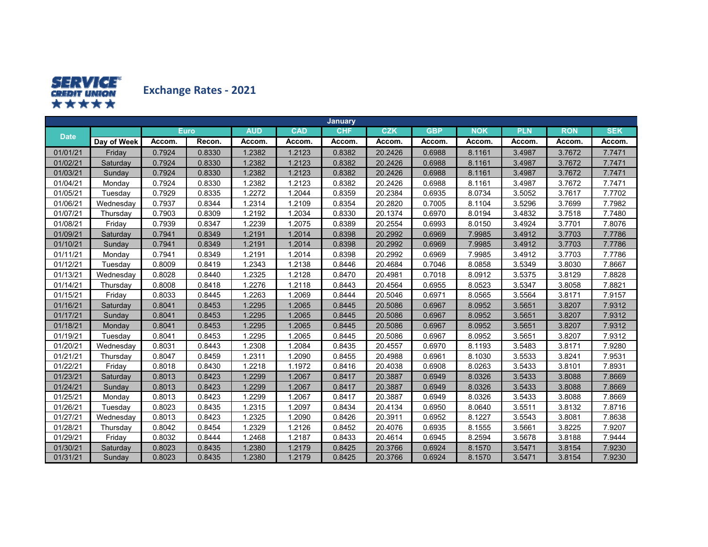

**Exchange Rates ‐ 2021**

|             |             |        |        |            |            | January    |            |            |            |            |            |            |
|-------------|-------------|--------|--------|------------|------------|------------|------------|------------|------------|------------|------------|------------|
|             |             |        | Euro.  | <b>AUD</b> | <b>CAD</b> | <b>CHF</b> | <b>CZK</b> | <b>GBP</b> | <b>NOK</b> | <b>PLN</b> | <b>RON</b> | <b>SEK</b> |
| <b>Date</b> | Day of Week | Accom. | Recon. | Accom.     | Accom.     | Accom.     | Accom.     | Accom.     | Accom.     | Accom.     | Accom.     | Accom.     |
| 01/01/21    | Friday      | 0.7924 | 0.8330 | 1.2382     | 1.2123     | 0.8382     | 20.2426    | 0.6988     | 8.1161     | 3.4987     | 3.7672     | 7.7471     |
| 01/02/21    | Saturday    | 0.7924 | 0.8330 | 1.2382     | 1.2123     | 0.8382     | 20.2426    | 0.6988     | 8.1161     | 3.4987     | 3.7672     | 7.7471     |
| 01/03/21    | Sundav      | 0.7924 | 0.8330 | 1.2382     | 1.2123     | 0.8382     | 20.2426    | 0.6988     | 8.1161     | 3.4987     | 3.7672     | 7.7471     |
| 01/04/21    | Monday      | 0.7924 | 0.8330 | 1.2382     | 1.2123     | 0.8382     | 20.2426    | 0.6988     | 8.1161     | 3.4987     | 3.7672     | 7.7471     |
| 01/05/21    | Tuesday     | 0.7929 | 0.8335 | 1.2272     | 1.2044     | 0.8359     | 20.2384    | 0.6935     | 8.0734     | 3.5052     | 3.7617     | 7.7702     |
| 01/06/21    | Wednesday   | 0.7937 | 0.8344 | 1.2314     | 1.2109     | 0.8354     | 20.2820    | 0.7005     | 8.1104     | 3.5296     | 3.7699     | 7.7982     |
| 01/07/21    | Thursday    | 0.7903 | 0.8309 | 1.2192     | 1.2034     | 0.8330     | 20.1374    | 0.6970     | 8.0194     | 3.4832     | 3.7518     | 7.7480     |
| 01/08/21    | Friday      | 0.7939 | 0.8347 | 1.2239     | 1.2075     | 0.8389     | 20.2554    | 0.6993     | 8.0150     | 3.4924     | 3.7701     | 7.8076     |
| 01/09/21    | Saturday    | 0.7941 | 0.8349 | 1.2191     | 1.2014     | 0.8398     | 20.2992    | 0.6969     | 7.9985     | 3.4912     | 3.7703     | 7.7786     |
| 01/10/21    | Sunday      | 0.7941 | 0.8349 | 1.2191     | 1.2014     | 0.8398     | 20.2992    | 0.6969     | 7.9985     | 3.4912     | 3.7703     | 7.7786     |
| 01/11/21    | Monday      | 0.7941 | 0.8349 | 1.2191     | 1.2014     | 0.8398     | 20.2992    | 0.6969     | 7.9985     | 3.4912     | 3.7703     | 7.7786     |
| 01/12/21    | Tuesday     | 0.8009 | 0.8419 | 1.2343     | 1.2138     | 0.8446     | 20.4684    | 0.7046     | 8.0858     | 3.5349     | 3.8030     | 7.8667     |
| 01/13/21    | Wednesday   | 0.8028 | 0.8440 | 1.2325     | 1.2128     | 0.8470     | 20.4981    | 0.7018     | 8.0912     | 3.5375     | 3.8129     | 7.8828     |
| 01/14/21    | Thursday    | 0.8008 | 0.8418 | 1.2276     | 1.2118     | 0.8443     | 20.4564    | 0.6955     | 8.0523     | 3.5347     | 3.8058     | 7.8821     |
| 01/15/21    | Friday      | 0.8033 | 0.8445 | 1.2263     | 1.2069     | 0.8444     | 20.5046    | 0.6971     | 8.0565     | 3.5564     | 3.8171     | 7.9157     |
| 01/16/21    | Saturday    | 0.8041 | 0.8453 | 1.2295     | 1.2065     | 0.8445     | 20.5086    | 0.6967     | 8.0952     | 3.5651     | 3.8207     | 7.9312     |
| 01/17/21    | Sunday      | 0.8041 | 0.8453 | 1.2295     | 1.2065     | 0.8445     | 20.5086    | 0.6967     | 8.0952     | 3.5651     | 3.8207     | 7.9312     |
| 01/18/21    | Monday      | 0.8041 | 0.8453 | 1.2295     | 1.2065     | 0.8445     | 20.5086    | 0.6967     | 8.0952     | 3.5651     | 3.8207     | 7.9312     |
| 01/19/21    | Tuesday     | 0.8041 | 0.8453 | 1.2295     | 1.2065     | 0.8445     | 20.5086    | 0.6967     | 8.0952     | 3.5651     | 3.8207     | 7.9312     |
| 01/20/21    | Wednesday   | 0.8031 | 0.8443 | 1.2308     | 1.2084     | 0.8435     | 20.4557    | 0.6970     | 8.1193     | 3.5483     | 3.8171     | 7.9280     |
| 01/21/21    | Thursday    | 0.8047 | 0.8459 | 1.2311     | 1.2090     | 0.8455     | 20.4988    | 0.6961     | 8.1030     | 3.5533     | 3.8241     | 7.9531     |
| 01/22/21    | Friday      | 0.8018 | 0.8430 | 1.2218     | 1.1972     | 0.8416     | 20.4038    | 0.6908     | 8.0263     | 3.5433     | 3.8101     | 7.8931     |
| 01/23/21    | Saturday    | 0.8013 | 0.8423 | 1.2299     | 1.2067     | 0.8417     | 20.3887    | 0.6949     | 8.0326     | 3.5433     | 3.8088     | 7.8669     |
| 01/24/21    | Sunday      | 0.8013 | 0.8423 | 1.2299     | 1.2067     | 0.8417     | 20.3887    | 0.6949     | 8.0326     | 3.5433     | 3.8088     | 7.8669     |
| 01/25/21    | Monday      | 0.8013 | 0.8423 | 1.2299     | 1.2067     | 0.8417     | 20.3887    | 0.6949     | 8.0326     | 3.5433     | 3.8088     | 7.8669     |
| 01/26/21    | Tuesday     | 0.8023 | 0.8435 | 1.2315     | 1.2097     | 0.8434     | 20.4134    | 0.6950     | 8.0640     | 3.5511     | 3.8132     | 7.8716     |
| 01/27/21    | Wednesday   | 0.8013 | 0.8423 | 1.2325     | 1.2090     | 0.8426     | 20.3911    | 0.6952     | 8.1227     | 3.5543     | 3.8081     | 7.8638     |
| 01/28/21    | Thursday    | 0.8042 | 0.8454 | 1.2329     | 1.2126     | 0.8452     | 20.4076    | 0.6935     | 8.1555     | 3.5661     | 3.8225     | 7.9207     |
| 01/29/21    | Friday      | 0.8032 | 0.8444 | 1.2468     | 1.2187     | 0.8433     | 20.4614    | 0.6945     | 8.2594     | 3.5678     | 3.8188     | 7.9444     |
| 01/30/21    | Saturday    | 0.8023 | 0.8435 | 1.2380     | 1.2179     | 0.8425     | 20.3766    | 0.6924     | 8.1570     | 3.5471     | 3.8154     | 7.9230     |
| 01/31/21    | Sunday      | 0.8023 | 0.8435 | 1.2380     | 1.2179     | 0.8425     | 20.3766    | 0.6924     | 8.1570     | 3.5471     | 3.8154     | 7.9230     |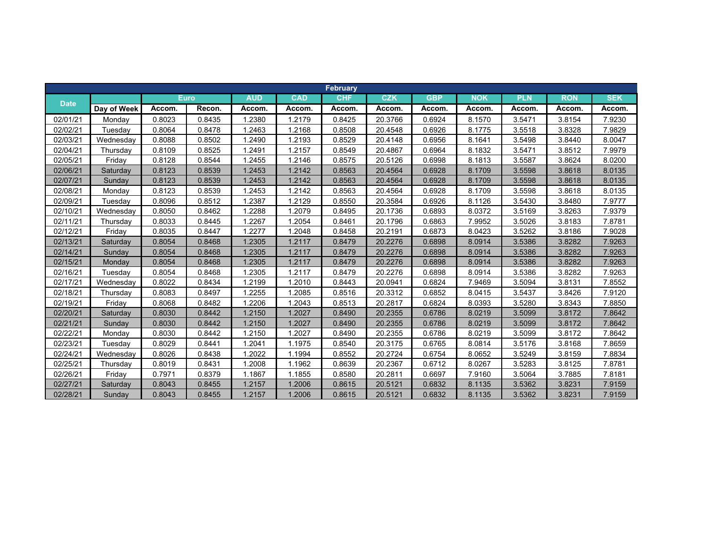|             |             |        |             |            |            | <b>February</b> |            |            |            |            |            |            |
|-------------|-------------|--------|-------------|------------|------------|-----------------|------------|------------|------------|------------|------------|------------|
| <b>Date</b> |             |        | <b>Euro</b> | <b>AUD</b> | <b>CAD</b> | <b>CHF</b>      | <b>CZK</b> | <b>GBP</b> | <b>NOK</b> | <b>PLN</b> | <b>RON</b> | <b>SEK</b> |
|             | Day of Week | Accom. | Recon.      | Accom.     | Accom.     | Accom.          | Accom.     | Accom.     | Accom.     | Accom.     | Accom.     | Accom.     |
| 02/01/21    | Mondav      | 0.8023 | 0.8435      | 1.2380     | 1.2179     | 0.8425          | 20.3766    | 0.6924     | 8.1570     | 3.5471     | 3.8154     | 7.9230     |
| 02/02/21    | Tuesdav     | 0.8064 | 0.8478      | 1.2463     | 1.2168     | 0.8508          | 20.4548    | 0.6926     | 8.1775     | 3.5518     | 3.8328     | 7.9829     |
| 02/03/21    | Wednesday   | 0.8088 | 0.8502      | 1.2490     | 1.2193     | 0.8529          | 20.4148    | 0.6956     | 8.1641     | 3.5498     | 3.8440     | 8.0047     |
| 02/04/21    | Thursday    | 0.8109 | 0.8525      | 1.2491     | 1.2157     | 0.8549          | 20.4867    | 0.6964     | 8.1832     | 3.5471     | 3.8512     | 7.9979     |
| 02/05/21    | Friday      | 0.8128 | 0.8544      | 1.2455     | 1.2146     | 0.8575          | 20.5126    | 0.6998     | 8.1813     | 3.5587     | 3.8624     | 8.0200     |
| 02/06/21    | Saturday    | 0.8123 | 0.8539      | 1.2453     | 1.2142     | 0.8563          | 20.4564    | 0.6928     | 8.1709     | 3.5598     | 3.8618     | 8.0135     |
| 02/07/21    | Sunday      | 0.8123 | 0.8539      | 1.2453     | 1.2142     | 0.8563          | 20.4564    | 0.6928     | 8.1709     | 3.5598     | 3.8618     | 8.0135     |
| 02/08/21    | Monday      | 0.8123 | 0.8539      | 1.2453     | 1.2142     | 0.8563          | 20.4564    | 0.6928     | 8.1709     | 3.5598     | 3.8618     | 8.0135     |
| 02/09/21    | Tuesday     | 0.8096 | 0.8512      | .2387      | 1.2129     | 0.8550          | 20.3584    | 0.6926     | 8.1126     | 3.5430     | 3.8480     | 7.9777     |
| 02/10/21    | Wednesdav   | 0.8050 | 0.8462      | .2288      | 1.2079     | 0.8495          | 20.1736    | 0.6893     | 8.0372     | 3.5169     | 3.8263     | 7.9379     |
| 02/11/21    | Thursday    | 0.8033 | 0.8445      | 1.2267     | 1.2054     | 0.8461          | 20.1796    | 0.6863     | 7.9952     | 3.5026     | 3.8183     | 7.8781     |
| 02/12/21    | Friday      | 0.8035 | 0.8447      | .2277      | 1.2048     | 0.8458          | 20.2191    | 0.6873     | 8.0423     | 3.5262     | 3.8186     | 7.9028     |
| 02/13/21    | Saturday    | 0.8054 | 0.8468      | 1.2305     | 1.2117     | 0.8479          | 20.2276    | 0.6898     | 8.0914     | 3.5386     | 3.8282     | 7.9263     |
| 02/14/21    | Sunday      | 0.8054 | 0.8468      | 1.2305     | 1.2117     | 0.8479          | 20.2276    | 0.6898     | 8.0914     | 3.5386     | 3.8282     | 7.9263     |
| 02/15/21    | Monday      | 0.8054 | 0.8468      | 1.2305     | 1.2117     | 0.8479          | 20.2276    | 0.6898     | 8.0914     | 3.5386     | 3.8282     | 7.9263     |
| 02/16/21    | Tuesday     | 0.8054 | 0.8468      | 1.2305     | 1.2117     | 0.8479          | 20.2276    | 0.6898     | 8.0914     | 3.5386     | 3.8282     | 7.9263     |
| 02/17/21    | Wednesday   | 0.8022 | 0.8434      | 1.2199     | 1.2010     | 0.8443          | 20.0941    | 0.6824     | 7.9469     | 3.5094     | 3.8131     | 7.8552     |
| 02/18/21    | Thursday    | 0.8083 | 0.8497      | .2255      | 1.2085     | 0.8516          | 20.3312    | 0.6852     | 8.0415     | 3.5437     | 3.8426     | 7.9120     |
| 02/19/21    | Friday      | 0.8068 | 0.8482      | 1.2206     | 1.2043     | 0.8513          | 20.2817    | 0.6824     | 8.0393     | 3.5280     | 3.8343     | 7.8850     |
| 02/20/21    | Saturday    | 0.8030 | 0.8442      | 1.2150     | 1.2027     | 0.8490          | 20.2355    | 0.6786     | 8.0219     | 3.5099     | 3.8172     | 7.8642     |
| 02/21/21    | Sunday      | 0.8030 | 0.8442      | 1.2150     | 1.2027     | 0.8490          | 20.2355    | 0.6786     | 8.0219     | 3.5099     | 3.8172     | 7.8642     |
| 02/22/21    | Monday      | 0.8030 | 0.8442      | 1.2150     | 1.2027     | 0.8490          | 20.2355    | 0.6786     | 8.0219     | 3.5099     | 3.8172     | 7.8642     |
| 02/23/21    | Tuesdav     | 0.8029 | 0.8441      | 1.2041     | 1.1975     | 0.8540          | 20.3175    | 0.6765     | 8.0814     | 3.5176     | 3.8168     | 7.8659     |
| 02/24/21    | Wednesday   | 0.8026 | 0.8438      | 1.2022     | 1.1994     | 0.8552          | 20.2724    | 0.6754     | 8.0652     | 3.5249     | 3.8159     | 7.8834     |
| 02/25/21    | Thursday    | 0.8019 | 0.8431      | 1.2008     | 1.1962     | 0.8639          | 20.2367    | 0.6712     | 8.0267     | 3.5283     | 3.8125     | 7.8781     |
| 02/26/21    | Friday      | 0.7971 | 0.8379      | 1.1867     | 1.1855     | 0.8580          | 20.2811    | 0.6697     | 7.9160     | 3.5064     | 3.7885     | 7.8181     |
| 02/27/21    | Saturday    | 0.8043 | 0.8455      | 1.2157     | 1.2006     | 0.8615          | 20.5121    | 0.6832     | 8.1135     | 3.5362     | 3.8231     | 7.9159     |
| 02/28/21    | Sunday      | 0.8043 | 0.8455      | 1.2157     | 1.2006     | 0.8615          | 20.5121    | 0.6832     | 8.1135     | 3.5362     | 3.8231     | 7.9159     |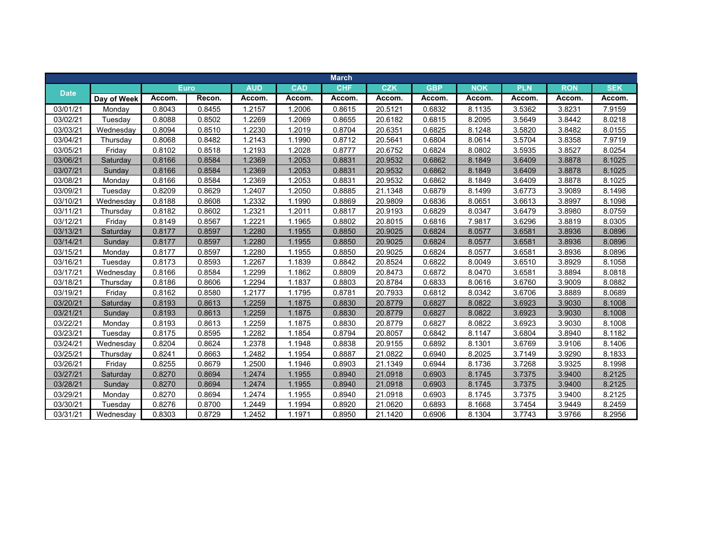|             |             |        |             |            |            | <b>March</b> |            |            |            |            |            |            |
|-------------|-------------|--------|-------------|------------|------------|--------------|------------|------------|------------|------------|------------|------------|
|             |             |        | <b>Euro</b> | <b>AUD</b> | <b>CAD</b> | <b>CHF</b>   | <b>CZK</b> | <b>GBP</b> | <b>NOK</b> | <b>PLN</b> | <b>RON</b> | <b>SEK</b> |
| <b>Date</b> | Day of Week | Accom. | Recon.      | Accom.     | Accom.     | Accom.       | Accom.     | Accom.     | Accom.     | Accom.     | Accom.     | Accom.     |
| 03/01/21    | Monday      | 0.8043 | 0.8455      | 1.2157     | 1.2006     | 0.8615       | 20.5121    | 0.6832     | 8.1135     | 3.5362     | 3.8231     | 7.9159     |
| 03/02/21    | Tuesday     | 0.8088 | 0.8502      | 1.2269     | 1.2069     | 0.8655       | 20.6182    | 0.6815     | 8.2095     | 3.5649     | 3.8442     | 8.0218     |
| 03/03/21    | Wednesdav   | 0.8094 | 0.8510      | 1.2230     | 1.2019     | 0.8704       | 20.6351    | 0.6825     | 8.1248     | 3.5820     | 3.8482     | 8.0155     |
| 03/04/21    | Thursday    | 0.8068 | 0.8482      | 1.2143     | 1.1990     | 0.8712       | 20.5641    | 0.6804     | 8.0614     | 3.5704     | 3.8358     | 7.9719     |
| 03/05/21    | Friday      | 0.8102 | 0.8518      | 1.2193     | 1.2028     | 0.8777       | 20.6752    | 0.6824     | 8.0802     | 3.5935     | 3.8527     | 8.0254     |
| 03/06/21    | Saturday    | 0.8166 | 0.8584      | 1.2369     | 1.2053     | 0.8831       | 20.9532    | 0.6862     | 8.1849     | 3.6409     | 3.8878     | 8.1025     |
| 03/07/21    | Sunday      | 0.8166 | 0.8584      | 1.2369     | 1.2053     | 0.8831       | 20.9532    | 0.6862     | 8.1849     | 3.6409     | 3.8878     | 8.1025     |
| 03/08/21    | Monday      | 0.8166 | 0.8584      | 1.2369     | 1.2053     | 0.8831       | 20.9532    | 0.6862     | 8.1849     | 3.6409     | 3.8878     | 8.1025     |
| 03/09/21    | Tuesday     | 0.8209 | 0.8629      | 1.2407     | 1.2050     | 0.8885       | 21.1348    | 0.6879     | 8.1499     | 3.6773     | 3.9089     | 8.1498     |
| 03/10/21    | Wednesday   | 0.8188 | 0.8608      | 1.2332     | 1.1990     | 0.8869       | 20.9809    | 0.6836     | 8.0651     | 3.6613     | 3.8997     | 8.1098     |
| 03/11/21    | Thursday    | 0.8182 | 0.8602      | 1.2321     | 1.2011     | 0.8817       | 20.9193    | 0.6829     | 8.0347     | 3.6479     | 3.8980     | 8.0759     |
| 03/12/21    | Friday      | 0.8149 | 0.8567      | 1.2221     | 1.1965     | 0.8802       | 20.8015    | 0.6816     | 7.9817     | 3.6296     | 3.8819     | 8.0305     |
| 03/13/21    | Saturday    | 0.8177 | 0.8597      | 1.2280     | 1.1955     | 0.8850       | 20.9025    | 0.6824     | 8.0577     | 3.6581     | 3.8936     | 8.0896     |
| 03/14/21    | Sunday      | 0.8177 | 0.8597      | 1.2280     | 1.1955     | 0.8850       | 20.9025    | 0.6824     | 8.0577     | 3.6581     | 3.8936     | 8.0896     |
| 03/15/21    | Monday      | 0.8177 | 0.8597      | 1.2280     | 1.1955     | 0.8850       | 20.9025    | 0.6824     | 8.0577     | 3.6581     | 3.8936     | 8.0896     |
| 03/16/21    | Tuesday     | 0.8173 | 0.8593      | 1.2267     | 1.1839     | 0.8842       | 20.8524    | 0.6822     | 8.0049     | 3.6510     | 3.8929     | 8.1058     |
| 03/17/21    | Wednesday   | 0.8166 | 0.8584      | 1.2299     | 1.1862     | 0.8809       | 20.8473    | 0.6872     | 8.0470     | 3.6581     | 3.8894     | 8.0818     |
| 03/18/21    | Thursday    | 0.8186 | 0.8606      | 1.2294     | 1.1837     | 0.8803       | 20.8784    | 0.6833     | 8.0616     | 3.6760     | 3.9009     | 8.0882     |
| 03/19/21    | Friday      | 0.8162 | 0.8580      | 1.2177     | 1.1795     | 0.8781       | 20.7933    | 0.6812     | 8.0342     | 3.6706     | 3.8889     | 8.0689     |
| 03/20/21    | Saturday    | 0.8193 | 0.8613      | 1.2259     | 1.1875     | 0.8830       | 20.8779    | 0.6827     | 8.0822     | 3.6923     | 3.9030     | 8.1008     |
| 03/21/21    | Sunday      | 0.8193 | 0.8613      | 1.2259     | 1.1875     | 0.8830       | 20.8779    | 0.6827     | 8.0822     | 3.6923     | 3.9030     | 8.1008     |
| 03/22/21    | Monday      | 0.8193 | 0.8613      | 1.2259     | 1.1875     | 0.8830       | 20.8779    | 0.6827     | 8.0822     | 3.6923     | 3.9030     | 8.1008     |
| 03/23/21    | Tuesday     | 0.8175 | 0.8595      | 1.2282     | 1.1854     | 0.8794       | 20.8057    | 0.6842     | 8.1147     | 3.6804     | 3.8940     | 8.1182     |
| 03/24/21    | Wednesday   | 0.8204 | 0.8624      | 1.2378     | 1.1948     | 0.8838       | 20.9155    | 0.6892     | 8.1301     | 3.6769     | 3.9106     | 8.1406     |
| 03/25/21    | Thursday    | 0.8241 | 0.8663      | 1.2482     | 1.1954     | 0.8887       | 21.0822    | 0.6940     | 8.2025     | 3.7149     | 3.9290     | 8.1833     |
| 03/26/21    | Friday      | 0.8255 | 0.8679      | 1.2500     | 1.1946     | 0.8903       | 21.1349    | 0.6944     | 8.1736     | 3.7268     | 3.9325     | 8.1998     |
| 03/27/21    | Saturday    | 0.8270 | 0.8694      | 1.2474     | 1.1955     | 0.8940       | 21.0918    | 0.6903     | 8.1745     | 3.7375     | 3.9400     | 8.2125     |
| 03/28/21    | Sunday      | 0.8270 | 0.8694      | 1.2474     | 1.1955     | 0.8940       | 21.0918    | 0.6903     | 8.1745     | 3.7375     | 3.9400     | 8.2125     |
| 03/29/21    | Monday      | 0.8270 | 0.8694      | 1.2474     | 1.1955     | 0.8940       | 21.0918    | 0.6903     | 8.1745     | 3.7375     | 3.9400     | 8.2125     |
| 03/30/21    | Tuesday     | 0.8276 | 0.8700      | 1.2449     | 1.1994     | 0.8920       | 21.0620    | 0.6893     | 8.1668     | 3.7454     | 3.9449     | 8.2459     |
| 03/31/21    | Wednesday   | 0.8303 | 0.8729      | 1.2452     | 1.1971     | 0.8950       | 21.1420    | 0.6906     | 8.1304     | 3.7743     | 3.9766     | 8.2956     |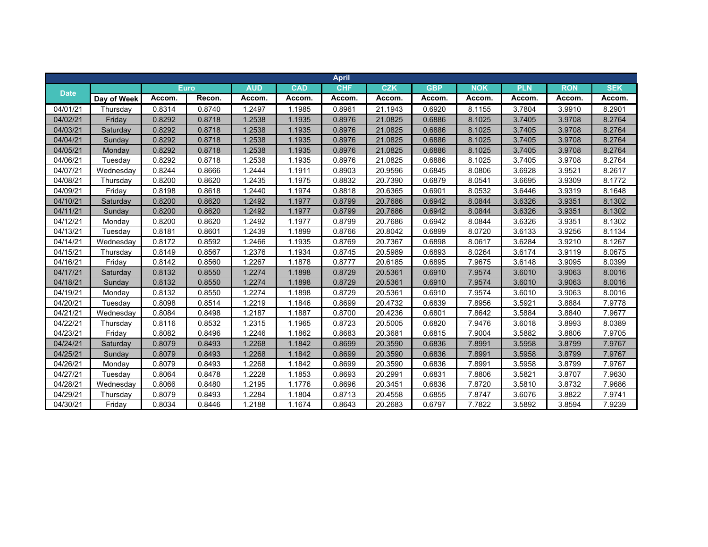|             |             |        |             |            |            | <b>April</b> |            |            |            |            |            |            |
|-------------|-------------|--------|-------------|------------|------------|--------------|------------|------------|------------|------------|------------|------------|
| <b>Date</b> |             |        | <b>Euro</b> | <b>AUD</b> | <b>CAD</b> | <b>CHF</b>   | <b>CZK</b> | <b>GBP</b> | <b>NOK</b> | <b>PLN</b> | <b>RON</b> | <b>SEK</b> |
|             | Day of Week | Accom. | Recon.      | Accom.     | Accom.     | Accom.       | Accom.     | Accom.     | Accom.     | Accom.     | Accom.     | Accom.     |
| 04/01/21    | Thursday    | 0.8314 | 0.8740      | 1.2497     | 1.1985     | 0.8961       | 21.1943    | 0.6920     | 8.1155     | 3.7804     | 3.9910     | 8.2901     |
| 04/02/21    | Friday      | 0.8292 | 0.8718      | 1.2538     | 1.1935     | 0.8976       | 21.0825    | 0.6886     | 8.1025     | 3.7405     | 3.9708     | 8.2764     |
| 04/03/21    | Saturday    | 0.8292 | 0.8718      | 1.2538     | 1.1935     | 0.8976       | 21.0825    | 0.6886     | 8.1025     | 3.7405     | 3.9708     | 8.2764     |
| 04/04/21    | Sunday      | 0.8292 | 0.8718      | 1.2538     | 1.1935     | 0.8976       | 21.0825    | 0.6886     | 8.1025     | 3.7405     | 3.9708     | 8.2764     |
| 04/05/21    | Monday      | 0.8292 | 0.8718      | 1.2538     | 1.1935     | 0.8976       | 21.0825    | 0.6886     | 8.1025     | 3.7405     | 3.9708     | 8.2764     |
| 04/06/21    | Tuesday     | 0.8292 | 0.8718      | 1.2538     | 1.1935     | 0.8976       | 21.0825    | 0.6886     | 8.1025     | 3.7405     | 3.9708     | 8.2764     |
| 04/07/21    | Wednesday   | 0.8244 | 0.8666      | 1.2444     | 1.1911     | 0.8903       | 20.9596    | 0.6845     | 8.0806     | 3.6928     | 3.9521     | 8.2617     |
| 04/08/21    | Thursday    | 0.8200 | 0.8620      | 1.2435     | 1.1975     | 0.8832       | 20.7390    | 0.6879     | 8.0541     | 3.6695     | 3.9309     | 8.1772     |
| 04/09/21    | Friday      | 0.8198 | 0.8618      | 1.2440     | 1.1974     | 0.8818       | 20.6365    | 0.6901     | 8.0532     | 3.6446     | 3.9319     | 8.1648     |
| 04/10/21    | Saturday    | 0.8200 | 0.8620      | 1.2492     | 1.1977     | 0.8799       | 20.7686    | 0.6942     | 8.0844     | 3.6326     | 3.9351     | 8.1302     |
| 04/11/21    | Sunday      | 0.8200 | 0.8620      | 1.2492     | 1.1977     | 0.8799       | 20.7686    | 0.6942     | 8.0844     | 3.6326     | 3.9351     | 8.1302     |
| 04/12/21    | Monday      | 0.8200 | 0.8620      | 1.2492     | 1.1977     | 0.8799       | 20.7686    | 0.6942     | 8.0844     | 3.6326     | 3.9351     | 8.1302     |
| 04/13/21    | Tuesday     | 0.8181 | 0.8601      | 1.2439     | 1.1899     | 0.8766       | 20.8042    | 0.6899     | 8.0720     | 3.6133     | 3.9256     | 8.1134     |
| 04/14/21    | Wednesday   | 0.8172 | 0.8592      | 1.2466     | 1.1935     | 0.8769       | 20.7367    | 0.6898     | 8.0617     | 3.6284     | 3.9210     | 8.1267     |
| 04/15/21    | Thursday    | 0.8149 | 0.8567      | 1.2376     | 1.1934     | 0.8745       | 20.5989    | 0.6893     | 8.0264     | 3.6174     | 3.9119     | 8.0675     |
| 04/16/21    | Friday      | 0.8142 | 0.8560      | 1.2267     | 1.1878     | 0.8777       | 20.6185    | 0.6895     | 7.9675     | 3.6148     | 3.9095     | 8.0399     |
| 04/17/21    | Saturday    | 0.8132 | 0.8550      | 1.2274     | 1.1898     | 0.8729       | 20.5361    | 0.6910     | 7.9574     | 3.6010     | 3.9063     | 8.0016     |
| 04/18/21    | Sunday      | 0.8132 | 0.8550      | 1.2274     | 1.1898     | 0.8729       | 20.5361    | 0.6910     | 7.9574     | 3.6010     | 3.9063     | 8.0016     |
| 04/19/21    | Monday      | 0.8132 | 0.8550      | 1.2274     | 1.1898     | 0.8729       | 20.5361    | 0.6910     | 7.9574     | 3.6010     | 3.9063     | 8.0016     |
| 04/20/21    | Tuesday     | 0.8098 | 0.8514      | 1.2219     | 1.1846     | 0.8699       | 20.4732    | 0.6839     | 7.8956     | 3.5921     | 3.8884     | 7.9778     |
| 04/21/21    | Wednesday   | 0.8084 | 0.8498      | 1.2187     | 1.1887     | 0.8700       | 20.4236    | 0.6801     | 7.8642     | 3.5884     | 3.8840     | 7.9677     |
| 04/22/21    | Thursday    | 0.8116 | 0.8532      | 1.2315     | 1.1965     | 0.8723       | 20.5005    | 0.6820     | 7.9476     | 3.6018     | 3.8993     | 8.0389     |
| 04/23/21    | Friday      | 0.8082 | 0.8496      | 1.2246     | 1.1862     | 0.8683       | 20.3681    | 0.6815     | 7.9004     | 3.5882     | 3.8806     | 7.9705     |
| 04/24/21    | Saturday    | 0.8079 | 0.8493      | 1.2268     | 1.1842     | 0.8699       | 20.3590    | 0.6836     | 7.8991     | 3.5958     | 3.8799     | 7.9767     |
| 04/25/21    | Sunday      | 0.8079 | 0.8493      | 1.2268     | 1.1842     | 0.8699       | 20.3590    | 0.6836     | 7.8991     | 3.5958     | 3.8799     | 7.9767     |
| 04/26/21    | Monday      | 0.8079 | 0.8493      | 1.2268     | 1.1842     | 0.8699       | 20.3590    | 0.6836     | 7.8991     | 3.5958     | 3.8799     | 7.9767     |
| 04/27/21    | Tuesday     | 0.8064 | 0.8478      | 1.2228     | 1.1853     | 0.8693       | 20.2991    | 0.6831     | 7.8806     | 3.5821     | 3.8707     | 7.9630     |
| 04/28/21    | Wednesday   | 0.8066 | 0.8480      | 1.2195     | 1.1776     | 0.8696       | 20.3451    | 0.6836     | 7.8720     | 3.5810     | 3.8732     | 7.9686     |
| 04/29/21    | Thursday    | 0.8079 | 0.8493      | 1.2284     | 1.1804     | 0.8713       | 20.4558    | 0.6855     | 7.8747     | 3.6076     | 3.8822     | 7.9741     |
| 04/30/21    | Friday      | 0.8034 | 0.8446      | 1.2188     | 1.1674     | 0.8643       | 20.2683    | 0.6797     | 7.7822     | 3.5892     | 3.8594     | 7.9239     |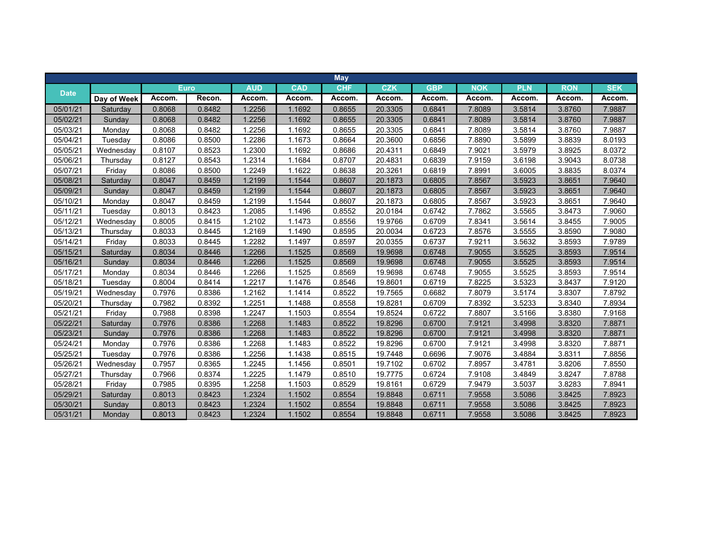|             |             |        |             |            |            | <b>May</b> |            |            |            |            |            |            |
|-------------|-------------|--------|-------------|------------|------------|------------|------------|------------|------------|------------|------------|------------|
|             |             |        | <b>Euro</b> | <b>AUD</b> | <b>CAD</b> | <b>CHF</b> | <b>CZK</b> | <b>GBP</b> | <b>NOK</b> | <b>PLN</b> | <b>RON</b> | <b>SEK</b> |
| <b>Date</b> | Day of Week | Accom. | Recon.      | Accom.     | Accom.     | Accom.     | Accom.     | Accom.     | Accom.     | Accom.     | Accom.     | Accom.     |
| 05/01/21    | Saturday    | 0.8068 | 0.8482      | .2256      | 1.1692     | 0.8655     | 20.3305    | 0.6841     | 7.8089     | 3.5814     | 3.8760     | 7.9887     |
| 05/02/21    | Sunday      | 0.8068 | 0.8482      | 1.2256     | 1.1692     | 0.8655     | 20.3305    | 0.6841     | 7.8089     | 3.5814     | 3.8760     | 7.9887     |
| 05/03/21    | Mondav      | 0.8068 | 0.8482      | 1.2256     | 1.1692     | 0.8655     | 20.3305    | 0.6841     | 7.8089     | 3.5814     | 3.8760     | 7.9887     |
| 05/04/21    | Tuesday     | 0.8086 | 0.8500      | 1.2286     | 1.1673     | 0.8664     | 20.3600    | 0.6856     | 7.8890     | 3.5899     | 3.8839     | 8.0193     |
| 05/05/21    | Wednesday   | 0.8107 | 0.8523      | 1.2300     | 1.1692     | 0.8686     | 20.4311    | 0.6849     | 7.9021     | 3.5979     | 3.8925     | 8.0372     |
| 05/06/21    | Thursday    | 0.8127 | 0.8543      | 1.2314     | 1.1684     | 0.8707     | 20.4831    | 0.6839     | 7.9159     | 3.6198     | 3.9043     | 8.0738     |
| 05/07/21    | Friday      | 0.8086 | 0.8500      | 1.2249     | 1.1622     | 0.8638     | 20.3261    | 0.6819     | 7.8991     | 3.6005     | 3.8835     | 8.0374     |
| 05/08/21    | Saturday    | 0.8047 | 0.8459      | 1.2199     | 1.1544     | 0.8607     | 20.1873    | 0.6805     | 7.8567     | 3.5923     | 3.8651     | 7.9640     |
| 05/09/21    | Sunday      | 0.8047 | 0.8459      | 1.2199     | 1.1544     | 0.8607     | 20.1873    | 0.6805     | 7.8567     | 3.5923     | 3.8651     | 7.9640     |
| 05/10/21    | Monday      | 0.8047 | 0.8459      | 1.2199     | 1.1544     | 0.8607     | 20.1873    | 0.6805     | 7.8567     | 3.5923     | 3.8651     | 7.9640     |
| 05/11/21    | Tuesday     | 0.8013 | 0.8423      | 1.2085     | 1.1496     | 0.8552     | 20.0184    | 0.6742     | 7.7862     | 3.5565     | 3.8473     | 7.9060     |
| 05/12/21    | Wednesdav   | 0.8005 | 0.8415      | 1.2102     | 1.1473     | 0.8556     | 19.9766    | 0.6709     | 7.8341     | 3.5614     | 3.8455     | 7.9005     |
| 05/13/21    | Thursday    | 0.8033 | 0.8445      | 1.2169     | 1.1490     | 0.8595     | 20.0034    | 0.6723     | 7.8576     | 3.5555     | 3.8590     | 7.9080     |
| 05/14/21    | Friday      | 0.8033 | 0.8445      | 1.2282     | 1.1497     | 0.8597     | 20.0355    | 0.6737     | 7.9211     | 3.5632     | 3.8593     | 7.9789     |
| 05/15/21    | Saturday    | 0.8034 | 0.8446      | 1.2266     | 1.1525     | 0.8569     | 19.9698    | 0.6748     | 7.9055     | 3.5525     | 3.8593     | 7.9514     |
| 05/16/21    | Sunday      | 0.8034 | 0.8446      | 1.2266     | 1.1525     | 0.8569     | 19.9698    | 0.6748     | 7.9055     | 3.5525     | 3.8593     | 7.9514     |
| 05/17/21    | Monday      | 0.8034 | 0.8446      | 1.2266     | 1.1525     | 0.8569     | 19.9698    | 0.6748     | 7.9055     | 3.5525     | 3.8593     | 7.9514     |
| 05/18/21    | Tuesday     | 0.8004 | 0.8414      | 1.2217     | 1.1476     | 0.8546     | 19.8601    | 0.6719     | 7.8225     | 3.5323     | 3.8437     | 7.9120     |
| 05/19/21    | Wednesday   | 0.7976 | 0.8386      | 1.2162     | 1.1414     | 0.8522     | 19.7565    | 0.6682     | 7.8079     | 3.5174     | 3.8307     | 7.8792     |
| 05/20/21    | Thursday    | 0.7982 | 0.8392      | 1.2251     | 1.1488     | 0.8558     | 19.8281    | 0.6709     | 7.8392     | 3.5233     | 3.8340     | 7.8934     |
| 05/21/21    | Friday      | 0.7988 | 0.8398      | 1.2247     | 1.1503     | 0.8554     | 19.8524    | 0.6722     | 7.8807     | 3.5166     | 3.8380     | 7.9168     |
| 05/22/21    | Saturdav    | 0.7976 | 0.8386      | 1.2268     | 1.1483     | 0.8522     | 19.8296    | 0.6700     | 7.9121     | 3.4998     | 3.8320     | 7.8871     |
| 05/23/21    | Sunday      | 0.7976 | 0.8386      | 1.2268     | 1.1483     | 0.8522     | 19.8296    | 0.6700     | 7.9121     | 3.4998     | 3.8320     | 7.8871     |
| 05/24/21    | Monday      | 0.7976 | 0.8386      | 1.2268     | 1.1483     | 0.8522     | 19.8296    | 0.6700     | 7.9121     | 3.4998     | 3.8320     | 7.8871     |
| 05/25/21    | Tuesday     | 0.7976 | 0.8386      | 1.2256     | 1.1438     | 0.8515     | 19.7448    | 0.6696     | 7.9076     | 3.4884     | 3.8311     | 7.8856     |
| 05/26/21    | Wednesday   | 0.7957 | 0.8365      | 1.2245     | 1.1456     | 0.8501     | 19.7102    | 0.6702     | 7.8957     | 3.4781     | 3.8206     | 7.8550     |
| 05/27/21    | Thursday    | 0.7966 | 0.8374      | 1.2225     | 1.1479     | 0.8510     | 19.7775    | 0.6724     | 7.9108     | 3.4849     | 3.8247     | 7.8788     |
| 05/28/21    | Friday      | 0.7985 | 0.8395      | 1.2258     | 1.1503     | 0.8529     | 19.8161    | 0.6729     | 7.9479     | 3.5037     | 3.8283     | 7.8941     |
| 05/29/21    | Saturday    | 0.8013 | 0.8423      | 1.2324     | 1.1502     | 0.8554     | 19.8848    | 0.6711     | 7.9558     | 3.5086     | 3.8425     | 7.8923     |
| 05/30/21    | Sunday      | 0.8013 | 0.8423      | 1.2324     | 1.1502     | 0.8554     | 19.8848    | 0.6711     | 7.9558     | 3.5086     | 3.8425     | 7.8923     |
| 05/31/21    | Monday      | 0.8013 | 0.8423      | 1.2324     | 1.1502     | 0.8554     | 19.8848    | 0.6711     | 7.9558     | 3.5086     | 3.8425     | 7.8923     |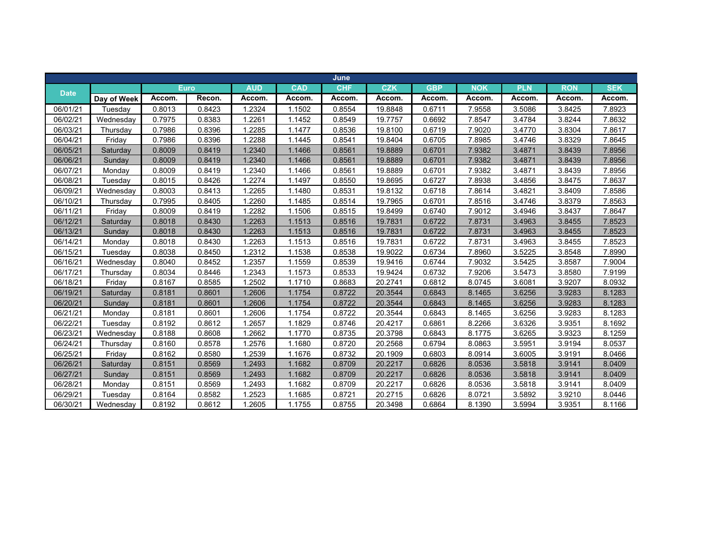|             |             |        |             |            |            | June       |            |            |            |            |            |            |
|-------------|-------------|--------|-------------|------------|------------|------------|------------|------------|------------|------------|------------|------------|
| <b>Date</b> |             |        | <b>Euro</b> | <b>AUD</b> | <b>CAD</b> | <b>CHF</b> | <b>CZK</b> | <b>GBP</b> | <b>NOK</b> | <b>PLN</b> | <b>RON</b> | <b>SEK</b> |
|             | Day of Week | Accom. | Recon.      | Accom.     | Accom.     | Accom.     | Accom.     | Accom.     | Accom.     | Accom.     | Accom.     | Accom.     |
| 06/01/21    | Tuesday     | 0.8013 | 0.8423      | 1.2324     | 1.1502     | 0.8554     | 19.8848    | 0.6711     | 7.9558     | 3.5086     | 3.8425     | 7.8923     |
| 06/02/21    | Wednesday   | 0.7975 | 0.8383      | 1.2261     | 1.1452     | 0.8549     | 19.7757    | 0.6692     | 7.8547     | 3.4784     | 3.8244     | 7.8632     |
| 06/03/21    | Thursday    | 0.7986 | 0.8396      | 1.2285     | 1.1477     | 0.8536     | 19.8100    | 0.6719     | 7.9020     | 3.4770     | 3.8304     | 7.8617     |
| 06/04/21    | Friday      | 0.7986 | 0.8396      | 1.2288     | 1.1445     | 0.8541     | 19.8404    | 0.6705     | 7.8985     | 3.4746     | 3.8329     | 7.8645     |
| 06/05/21    | Saturday    | 0.8009 | 0.8419      | 1.2340     | 1.1466     | 0.8561     | 19.8889    | 0.6701     | 7.9382     | 3.4871     | 3.8439     | 7.8956     |
| 06/06/21    | Sunday      | 0.8009 | 0.8419      | 1.2340     | 1.1466     | 0.8561     | 19.8889    | 0.6701     | 7.9382     | 3.4871     | 3.8439     | 7.8956     |
| 06/07/21    | Monday      | 0.8009 | 0.8419      | 1.2340     | 1.1466     | 0.8561     | 19.8889    | 0.6701     | 7.9382     | 3.4871     | 3.8439     | 7.8956     |
| 06/08/21    | Tuesday     | 0.8015 | 0.8426      | .2274      | 1.1497     | 0.8550     | 19.8695    | 0.6727     | 7.8938     | 3.4856     | 3.8475     | 7.8637     |
| 06/09/21    | Wednesday   | 0.8003 | 0.8413      | 1.2265     | 1.1480     | 0.8531     | 19.8132    | 0.6718     | 7.8614     | 3.4821     | 3.8409     | 7.8586     |
| 06/10/21    | Thursday    | 0.7995 | 0.8405      | 1.2260     | 1.1485     | 0.8514     | 19.7965    | 0.6701     | 7.8516     | 3.4746     | 3.8379     | 7.8563     |
| 06/11/21    | Friday      | 0.8009 | 0.8419      | 1.2282     | 1.1506     | 0.8515     | 19.8499    | 0.6740     | 7.9012     | 3.4946     | 3.8437     | 7.8647     |
| 06/12/21    | Saturday    | 0.8018 | 0.8430      | 1.2263     | 1.1513     | 0.8516     | 19.7831    | 0.6722     | 7.8731     | 3.4963     | 3.8455     | 7.8523     |
| 06/13/21    | Sunday      | 0.8018 | 0.8430      | 1.2263     | 1.1513     | 0.8516     | 19.7831    | 0.6722     | 7.8731     | 3.4963     | 3.8455     | 7.8523     |
| 06/14/21    | Monday      | 0.8018 | 0.8430      | 1.2263     | 1.1513     | 0.8516     | 19.7831    | 0.6722     | 7.8731     | 3.4963     | 3.8455     | 7.8523     |
| 06/15/21    | Tuesday     | 0.8038 | 0.8450      | 1.2312     | 1.1538     | 0.8538     | 19.9022    | 0.6734     | 7.8960     | 3.5225     | 3.8548     | 7.8990     |
| 06/16/21    | Wednesday   | 0.8040 | 0.8452      | 1.2357     | 1.1559     | 0.8539     | 19.9416    | 0.6744     | 7.9032     | 3.5425     | 3.8587     | 7.9004     |
| 06/17/21    | Thursday    | 0.8034 | 0.8446      | 1.2343     | 1.1573     | 0.8533     | 19.9424    | 0.6732     | 7.9206     | 3.5473     | 3.8580     | 7.9199     |
| 06/18/21    | Friday      | 0.8167 | 0.8585      | 1.2502     | 1.1710     | 0.8683     | 20.2741    | 0.6812     | 8.0745     | 3.6081     | 3.9207     | 8.0932     |
| 06/19/21    | Saturday    | 0.8181 | 0.8601      | 1.2606     | 1.1754     | 0.8722     | 20.3544    | 0.6843     | 8.1465     | 3.6256     | 3.9283     | 8.1283     |
| 06/20/21    | Sunday      | 0.8181 | 0.8601      | 1.2606     | 1.1754     | 0.8722     | 20.3544    | 0.6843     | 8.1465     | 3.6256     | 3.9283     | 8.1283     |
| 06/21/21    | Monday      | 0.8181 | 0.8601      | 1.2606     | 1.1754     | 0.8722     | 20.3544    | 0.6843     | 8.1465     | 3.6256     | 3.9283     | 8.1283     |
| 06/22/21    | Tuesday     | 0.8192 | 0.8612      | 1.2657     | 1.1829     | 0.8746     | 20.4217    | 0.6861     | 8.2266     | 3.6326     | 3.9351     | 8.1692     |
| 06/23/21    | Wednesday   | 0.8188 | 0.8608      | 1.2662     | 1.1770     | 0.8735     | 20.3798    | 0.6843     | 8.1775     | 3.6265     | 3.9323     | 8.1259     |
| 06/24/21    | Thursday    | 0.8160 | 0.8578      | 1.2576     | 1.1680     | 0.8720     | 20.2568    | 0.6794     | 8.0863     | 3.5951     | 3.9194     | 8.0537     |
| 06/25/21    | Friday      | 0.8162 | 0.8580      | 1.2539     | 1.1676     | 0.8732     | 20.1909    | 0.6803     | 8.0914     | 3.6005     | 3.9191     | 8.0466     |
| 06/26/21    | Saturday    | 0.8151 | 0.8569      | 1.2493     | 1.1682     | 0.8709     | 20.2217    | 0.6826     | 8.0536     | 3.5818     | 3.9141     | 8.0409     |
| 06/27/21    | Sunday      | 0.8151 | 0.8569      | 1.2493     | 1.1682     | 0.8709     | 20.2217    | 0.6826     | 8.0536     | 3.5818     | 3.9141     | 8.0409     |
| 06/28/21    | Monday      | 0.8151 | 0.8569      | 1.2493     | 1.1682     | 0.8709     | 20.2217    | 0.6826     | 8.0536     | 3.5818     | 3.9141     | 8.0409     |
| 06/29/21    | Tuesday     | 0.8164 | 0.8582      | 1.2523     | 1.1685     | 0.8721     | 20.2715    | 0.6826     | 8.0721     | 3.5892     | 3.9210     | 8.0446     |
| 06/30/21    | Wednesday   | 0.8192 | 0.8612      | 1.2605     | 1.1755     | 0.8755     | 20.3498    | 0.6864     | 8.1390     | 3.5994     | 3.9351     | 8.1166     |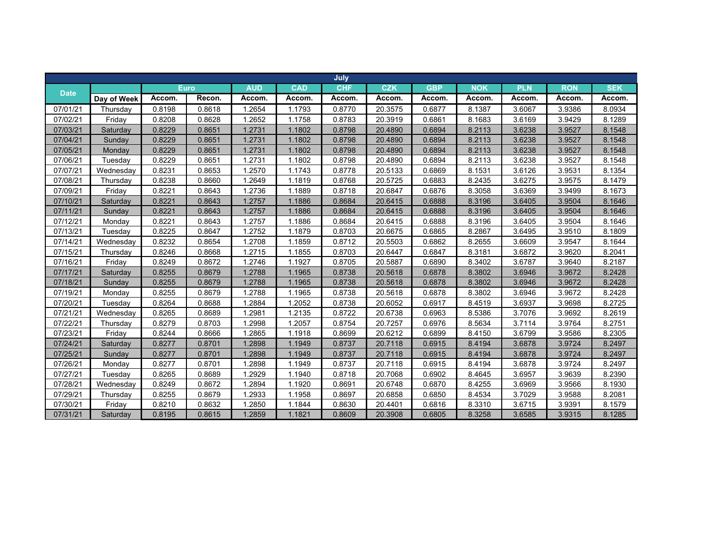|             |             |        |             |            |            | July       |            |            |            |            |            |            |
|-------------|-------------|--------|-------------|------------|------------|------------|------------|------------|------------|------------|------------|------------|
| <b>Date</b> |             |        | <b>Euro</b> | <b>AUD</b> | <b>CAD</b> | <b>CHF</b> | <b>CZK</b> | <b>GBP</b> | <b>NOK</b> | <b>PLN</b> | <b>RON</b> | <b>SEK</b> |
|             | Day of Week | Accom. | Recon.      | Accom.     | Accom.     | Accom.     | Accom.     | Accom.     | Accom.     | Accom.     | Accom.     | Accom.     |
| 07/01/21    | Thursday    | 0.8198 | 0.8618      | 1.2654     | 1.1793     | 0.8770     | 20.3575    | 0.6877     | 8.1387     | 3.6067     | 3.9386     | 8.0934     |
| 07/02/21    | Friday      | 0.8208 | 0.8628      | 1.2652     | 1.1758     | 0.8783     | 20.3919    | 0.6861     | 8.1683     | 3.6169     | 3.9429     | 8.1289     |
| 07/03/21    | Saturdav    | 0.8229 | 0.8651      | 1.2731     | 1.1802     | 0.8798     | 20.4890    | 0.6894     | 8.2113     | 3.6238     | 3.9527     | 8.1548     |
| 07/04/21    | Sunday      | 0.8229 | 0.8651      | 1.2731     | 1.1802     | 0.8798     | 20.4890    | 0.6894     | 8.2113     | 3.6238     | 3.9527     | 8.1548     |
| 07/05/21    | Monday      | 0.8229 | 0.8651      | 1.2731     | 1.1802     | 0.8798     | 20.4890    | 0.6894     | 8.2113     | 3.6238     | 3.9527     | 8.1548     |
| 07/06/21    | Tuesday     | 0.8229 | 0.8651      | 1.2731     | 1.1802     | 0.8798     | 20.4890    | 0.6894     | 8.2113     | 3.6238     | 3.9527     | 8.1548     |
| 07/07/21    | Wednesday   | 0.8231 | 0.8653      | 1.2570     | 1.1743     | 0.8778     | 20.5133    | 0.6869     | 8.1531     | 3.6126     | 3.9531     | 8.1354     |
| 07/08/21    | Thursday    | 0.8238 | 0.8660      | 1.2649     | 1.1819     | 0.8768     | 20.5725    | 0.6883     | 8.2435     | 3.6275     | 3.9575     | 8.1479     |
| 07/09/21    | Friday      | 0.8221 | 0.8643      | 1.2736     | 1.1889     | 0.8718     | 20.6847    | 0.6876     | 8.3058     | 3.6369     | 3.9499     | 8.1673     |
| 07/10/21    | Saturday    | 0.8221 | 0.8643      | 1.2757     | 1.1886     | 0.8684     | 20.6415    | 0.6888     | 8.3196     | 3.6405     | 3.9504     | 8.1646     |
| 07/11/21    | Sunday      | 0.8221 | 0.8643      | 1.2757     | 1.1886     | 0.8684     | 20.6415    | 0.6888     | 8.3196     | 3.6405     | 3.9504     | 8.1646     |
| 07/12/21    | Monday      | 0.8221 | 0.8643      | 1.2757     | 1.1886     | 0.8684     | 20.6415    | 0.6888     | 8.3196     | 3.6405     | 3.9504     | 8.1646     |
| 07/13/21    | Tuesday     | 0.8225 | 0.8647      | 1.2752     | 1.1879     | 0.8703     | 20.6675    | 0.6865     | 8.2867     | 3.6495     | 3.9510     | 8.1809     |
| 07/14/21    | Wednesday   | 0.8232 | 0.8654      | 1.2708     | 1.1859     | 0.8712     | 20.5503    | 0.6862     | 8.2655     | 3.6609     | 3.9547     | 8.1644     |
| 07/15/21    | Thursday    | 0.8246 | 0.8668      | 1.2715     | 1.1855     | 0.8703     | 20.6447    | 0.6847     | 8.3181     | 3.6872     | 3.9620     | 8.2041     |
| 07/16/21    | Friday      | 0.8249 | 0.8672      | 1.2746     | 1.1927     | 0.8705     | 20.5887    | 0.6890     | 8.3402     | 3.6787     | 3.9640     | 8.2187     |
| 07/17/21    | Saturday    | 0.8255 | 0.8679      | 1.2788     | 1.1965     | 0.8738     | 20.5618    | 0.6878     | 8.3802     | 3.6946     | 3.9672     | 8.2428     |
| 07/18/21    | Sunday      | 0.8255 | 0.8679      | 1.2788     | 1.1965     | 0.8738     | 20.5618    | 0.6878     | 8.3802     | 3.6946     | 3.9672     | 8.2428     |
| 07/19/21    | Monday      | 0.8255 | 0.8679      | 1.2788     | 1.1965     | 0.8738     | 20.5618    | 0.6878     | 8.3802     | 3.6946     | 3.9672     | 8.2428     |
| 07/20/21    | Tuesday     | 0.8264 | 0.8688      | 1.2884     | 1.2052     | 0.8738     | 20.6052    | 0.6917     | 8.4519     | 3.6937     | 3.9698     | 8.2725     |
| 07/21/21    | Wednesday   | 0.8265 | 0.8689      | 1.2981     | 1.2135     | 0.8722     | 20.6738    | 0.6963     | 8.5386     | 3.7076     | 3.9692     | 8.2619     |
| 07/22/21    | Thursdav    | 0.8279 | 0.8703      | 1.2998     | 1.2057     | 0.8754     | 20.7257    | 0.6976     | 8.5634     | 3.7114     | 3.9764     | 8.2751     |
| 07/23/21    | Friday      | 0.8244 | 0.8666      | 1.2865     | 1.1918     | 0.8699     | 20.6212    | 0.6899     | 8.4150     | 3.6799     | 3.9586     | 8.2305     |
| 07/24/21    | Saturday    | 0.8277 | 0.8701      | 1.2898     | 1.1949     | 0.8737     | 20.7118    | 0.6915     | 8.4194     | 3.6878     | 3.9724     | 8.2497     |
| 07/25/21    | Sunday      | 0.8277 | 0.8701      | 1.2898     | 1.1949     | 0.8737     | 20.7118    | 0.6915     | 8.4194     | 3.6878     | 3.9724     | 8.2497     |
| 07/26/21    | Monday      | 0.8277 | 0.8701      | 1.2898     | 1.1949     | 0.8737     | 20.7118    | 0.6915     | 8.4194     | 3.6878     | 3.9724     | 8.2497     |
| 07/27/21    | Tuesday     | 0.8265 | 0.8689      | 1.2929     | 1.1940     | 0.8718     | 20.7068    | 0.6902     | 8.4645     | 3.6957     | 3.9639     | 8.2390     |
| 07/28/21    | Wednesday   | 0.8249 | 0.8672      | 1.2894     | 1.1920     | 0.8691     | 20.6748    | 0.6870     | 8.4255     | 3.6969     | 3.9566     | 8.1930     |
| 07/29/21    | Thursday    | 0.8255 | 0.8679      | 1.2933     | 1.1958     | 0.8697     | 20.6858    | 0.6850     | 8.4534     | 3.7029     | 3.9588     | 8.2081     |
| 07/30/21    | Friday      | 0.8210 | 0.8632      | 1.2850     | 1.1844     | 0.8630     | 20.4401    | 0.6816     | 8.3310     | 3.6715     | 3.9391     | 8.1579     |
| 07/31/21    | Saturday    | 0.8195 | 0.8615      | 1.2859     | 1.1821     | 0.8609     | 20.3908    | 0.6805     | 8.3258     | 3.6585     | 3.9315     | 8.1285     |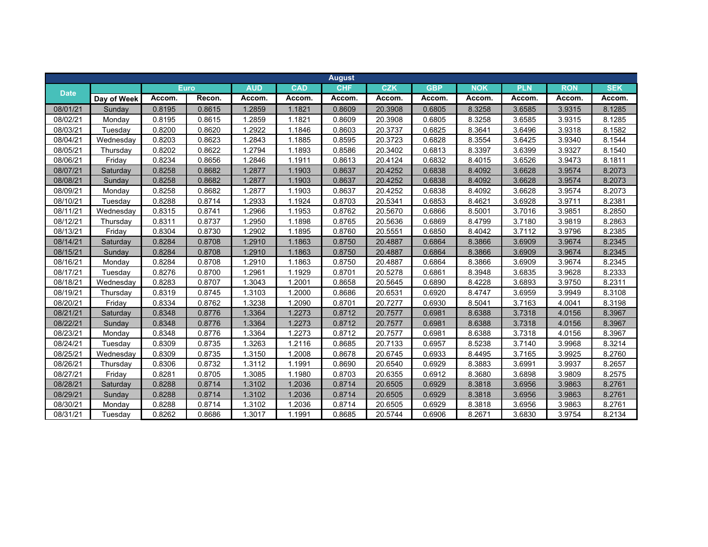|             |             |        |             |            |            | <b>August</b> |            |            |            |            |            |            |
|-------------|-------------|--------|-------------|------------|------------|---------------|------------|------------|------------|------------|------------|------------|
| <b>Date</b> |             |        | <b>Euro</b> | <b>AUD</b> | <b>CAD</b> | <b>CHF</b>    | <b>CZK</b> | <b>GBP</b> | <b>NOK</b> | <b>PLN</b> | <b>RON</b> | <b>SEK</b> |
|             | Day of Week | Accom. | Recon.      | Accom.     | Accom.     | Accom.        | Accom.     | Accom.     | Accom.     | Accom.     | Accom.     | Accom.     |
| 08/01/21    | Sunday      | 0.8195 | 0.8615      | .2859      | 1.1821     | 0.8609        | 20.3908    | 0.6805     | 8.3258     | 3.6585     | 3.9315     | 8.1285     |
| 08/02/21    | Mondav      | 0.8195 | 0.8615      | 1.2859     | 1.1821     | 0.8609        | 20.3908    | 0.6805     | 8.3258     | 3.6585     | 3.9315     | 8.1285     |
| 08/03/21    | Tuesdav     | 0.8200 | 0.8620      | 1.2922     | 1.1846     | 0.8603        | 20.3737    | 0.6825     | 8.3641     | 3.6496     | 3.9318     | 8.1582     |
| 08/04/21    | Wednesday   | 0.8203 | 0.8623      | 1.2843     | 1.1885     | 0.8595        | 20.3723    | 0.6828     | 8.3554     | 3.6425     | 3.9340     | 8.1544     |
| 08/05/21    | Thursday    | 0.8202 | 0.8622      | 1.2794     | 1.1893     | 0.8586        | 20.3402    | 0.6813     | 8.3397     | 3.6399     | 3.9327     | 8.1540     |
| 08/06/21    | Friday      | 0.8234 | 0.8656      | 1.2846     | 1.1911     | 0.8613        | 20.4124    | 0.6832     | 8.4015     | 3.6526     | 3.9473     | 8.1811     |
| 08/07/21    | Saturday    | 0.8258 | 0.8682      | 1.2877     | 1.1903     | 0.8637        | 20.4252    | 0.6838     | 8.4092     | 3.6628     | 3.9574     | 8.2073     |
| 08/08/21    | Sunday      | 0.8258 | 0.8682      | 1.2877     | 1.1903     | 0.8637        | 20.4252    | 0.6838     | 8.4092     | 3.6628     | 3.9574     | 8.2073     |
| 08/09/21    | Monday      | 0.8258 | 0.8682      | 1.2877     | 1.1903     | 0.8637        | 20.4252    | 0.6838     | 8.4092     | 3.6628     | 3.9574     | 8.2073     |
| 08/10/21    | Tuesday     | 0.8288 | 0.8714      | 1.2933     | 1.1924     | 0.8703        | 20.5341    | 0.6853     | 8.4621     | 3.6928     | 3.9711     | 8.2381     |
| 08/11/21    | Wednesday   | 0.8315 | 0.8741      | 1.2966     | 1.1953     | 0.8762        | 20.5670    | 0.6866     | 8.5001     | 3.7016     | 3.9851     | 8.2850     |
| 08/12/21    | Thursday    | 0.8311 | 0.8737      | 1.2950     | 1.1898     | 0.8765        | 20.5636    | 0.6869     | 8.4799     | 3.7180     | 3.9819     | 8.2863     |
| 08/13/21    | Friday      | 0.8304 | 0.8730      | 1.2902     | 1.1895     | 0.8760        | 20.5551    | 0.6850     | 8.4042     | 3.7112     | 3.9796     | 8.2385     |
| 08/14/21    | Saturday    | 0.8284 | 0.8708      | 1.2910     | 1.1863     | 0.8750        | 20.4887    | 0.6864     | 8.3866     | 3.6909     | 3.9674     | 8.2345     |
| 08/15/21    | Sunday      | 0.8284 | 0.8708      | 1.2910     | 1.1863     | 0.8750        | 20.4887    | 0.6864     | 8.3866     | 3.6909     | 3.9674     | 8.2345     |
| 08/16/21    | Monday      | 0.8284 | 0.8708      | 1.2910     | 1.1863     | 0.8750        | 20.4887    | 0.6864     | 8.3866     | 3.6909     | 3.9674     | 8.2345     |
| 08/17/21    | Tuesday     | 0.8276 | 0.8700      | 1.2961     | 1.1929     | 0.8701        | 20.5278    | 0.6861     | 8.3948     | 3.6835     | 3.9628     | 8.2333     |
| 08/18/21    | Wednesday   | 0.8283 | 0.8707      | 1.3043     | 1.2001     | 0.8658        | 20.5645    | 0.6890     | 8.4228     | 3.6893     | 3.9750     | 8.2311     |
| 08/19/21    | Thursday    | 0.8319 | 0.8745      | 1.3103     | 1.2000     | 0.8686        | 20.6531    | 0.6920     | 8.4747     | 3.6959     | 3.9949     | 8.3108     |
| 08/20/21    | Friday      | 0.8334 | 0.8762      | 1.3238     | 1.2090     | 0.8701        | 20.7277    | 0.6930     | 8.5041     | 3.7163     | 4.0041     | 8.3198     |
| 08/21/21    | Saturday    | 0.8348 | 0.8776      | 1.3364     | 1.2273     | 0.8712        | 20.7577    | 0.6981     | 8.6388     | 3.7318     | 4.0156     | 8.3967     |
| 08/22/21    | Sundav      | 0.8348 | 0.8776      | 1.3364     | 1.2273     | 0.8712        | 20.7577    | 0.6981     | 8.6388     | 3.7318     | 4.0156     | 8.3967     |
| 08/23/21    | Monday      | 0.8348 | 0.8776      | 1.3364     | 1.2273     | 0.8712        | 20.7577    | 0.6981     | 8.6388     | 3.7318     | 4.0156     | 8.3967     |
| 08/24/21    | Tuesday     | 0.8309 | 0.8735      | 1.3263     | 1.2116     | 0.8685        | 20.7133    | 0.6957     | 8.5238     | 3.7140     | 3.9968     | 8.3214     |
| 08/25/21    | Wednesday   | 0.8309 | 0.8735      | 1.3150     | 1.2008     | 0.8678        | 20.6745    | 0.6933     | 8.4495     | 3.7165     | 3.9925     | 8.2760     |
| 08/26/21    | Thursday    | 0.8306 | 0.8732      | 1.3112     | 1.1991     | 0.8690        | 20.6540    | 0.6929     | 8.3883     | 3.6991     | 3.9937     | 8.2657     |
| 08/27/21    | Friday      | 0.8281 | 0.8705      | 1.3085     | 1.1980     | 0.8703        | 20.6355    | 0.6912     | 8.3680     | 3.6898     | 3.9809     | 8.2575     |
| 08/28/21    | Saturday    | 0.8288 | 0.8714      | 1.3102     | 1.2036     | 0.8714        | 20.6505    | 0.6929     | 8.3818     | 3.6956     | 3.9863     | 8.2761     |
| 08/29/21    | Sunday      | 0.8288 | 0.8714      | 1.3102     | 1.2036     | 0.8714        | 20.6505    | 0.6929     | 8.3818     | 3.6956     | 3.9863     | 8.2761     |
| 08/30/21    | Monday      | 0.8288 | 0.8714      | 1.3102     | 1.2036     | 0.8714        | 20.6505    | 0.6929     | 8.3818     | 3.6956     | 3.9863     | 8.2761     |
| 08/31/21    | Tuesday     | 0.8262 | 0.8686      | 1.3017     | 1.1991     | 0.8685        | 20.5744    | 0.6906     | 8.2671     | 3.6830     | 3.9754     | 8.2134     |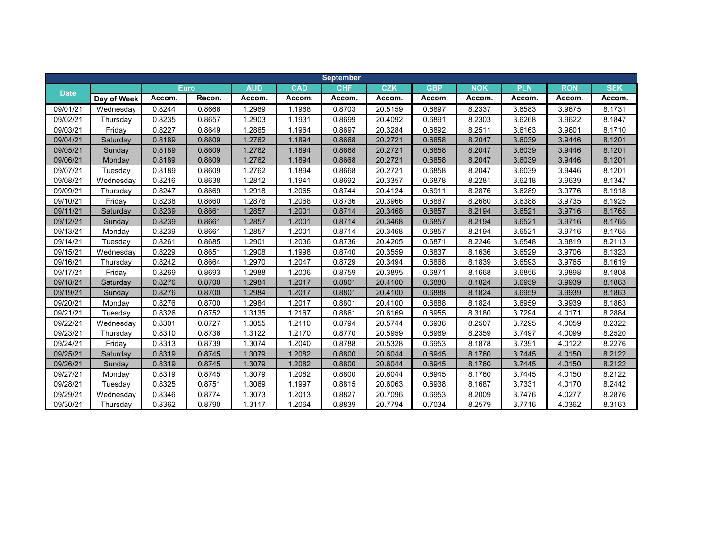|             |             |        |        |            |            | <b>September</b> |            |            |            |            |            |            |
|-------------|-------------|--------|--------|------------|------------|------------------|------------|------------|------------|------------|------------|------------|
|             |             |        | Euro   | <b>AUD</b> | <b>CAD</b> | <b>CHF</b>       | <b>CZK</b> | <b>GBP</b> | <b>NOK</b> | <b>PLN</b> | <b>RON</b> | <b>SEK</b> |
| <b>Date</b> | Day of Week | Accom. | Recon. | Accom.     | Accom.     | Accom.           | Accom.     | Accom.     | Accom.     | Accom.     | Accom.     | Accom.     |
| 09/01/21    | Wednesday   | 0.8244 | 0.8666 | 1.2969     | 1.1968     | 0.8703           | 20.5159    | 0.6897     | 8.2337     | 3.6583     | 3.9675     | 8.1731     |
| 09/02/21    | Thursday    | 0.8235 | 0.8657 | 1.2903     | 1.1931     | 0.8699           | 20.4092    | 0.6891     | 8.2303     | 3.6268     | 3.9622     | 8.1847     |
| 09/03/21    | Friday      | 0.8227 | 0.8649 | 1.2865     | 1.1964     | 0.8697           | 20.3284    | 0.6892     | 8.2511     | 3.6163     | 3.9601     | 8.1710     |
| 09/04/21    | Saturday    | 0.8189 | 0.8609 | 1.2762     | 1.1894     | 0.8668           | 20.2721    | 0.6858     | 8.2047     | 3.6039     | 3.9446     | 8.1201     |
| 09/05/21    | Sunday      | 0.8189 | 0.8609 | 1.2762     | 1.1894     | 0.8668           | 20.2721    | 0.6858     | 8.2047     | 3.6039     | 3.9446     | 8.1201     |
| 09/06/21    | Monday      | 0.8189 | 0.8609 | 1.2762     | 1.1894     | 0.8668           | 20.2721    | 0.6858     | 8.2047     | 3.6039     | 3.9446     | 8.1201     |
| 09/07/21    | Tuesday     | 0.8189 | 0.8609 | 1.2762     | 1.1894     | 0.8668           | 20.2721    | 0.6858     | 8.2047     | 3.6039     | 3.9446     | 8.1201     |
| 09/08/21    | Wednesday   | 0.8216 | 0.8638 | 1.2812     | 1.1941     | 0.8692           | 20.3357    | 0.6878     | 8.2281     | 3.6218     | 3.9639     | 8.1347     |
| 09/09/21    | Thursday    | 0.8247 | 0.8669 | 1.2918     | 1.2065     | 0.8744           | 20.4124    | 0.6911     | 8.2876     | 3.6289     | 3.9776     | 8.1918     |
| 09/10/21    | Friday      | 0.8238 | 0.8660 | 1.2876     | 1.2068     | 0.8736           | 20.3966    | 0.6887     | 8.2680     | 3.6388     | 3.9735     | 8.1925     |
| 09/11/21    | Saturday    | 0.8239 | 0.8661 | 1.2857     | 1.2001     | 0.8714           | 20.3468    | 0.6857     | 8.2194     | 3.6521     | 3.9716     | 8.1765     |
| 09/12/21    | Sunday      | 0.8239 | 0.8661 | 1.2857     | 1.2001     | 0.8714           | 20.3468    | 0.6857     | 8.2194     | 3.6521     | 3.9716     | 8.1765     |
| 09/13/21    | Monday      | 0.8239 | 0.8661 | 1.2857     | 1.2001     | 0.8714           | 20.3468    | 0.6857     | 8.2194     | 3.6521     | 3.9716     | 8.1765     |
| 09/14/21    | Tuesday     | 0.8261 | 0.8685 | 1.2901     | 1.2036     | 0.8736           | 20.4205    | 0.6871     | 8.2246     | 3.6548     | 3.9819     | 8.2113     |
| 09/15/21    | Wednesday   | 0.8229 | 0.8651 | 1.2908     | 1.1998     | 0.8740           | 20.3559    | 0.6837     | 8.1636     | 3.6529     | 3.9706     | 8.1323     |
| 09/16/21    | Thursday    | 0.8242 | 0.8664 | .2970      | 1.2047     | 0.8729           | 20.3494    | 0.6868     | 8.1839     | 3.6593     | 3.9765     | 8.1619     |
| 09/17/21    | Friday      | 0.8269 | 0.8693 | 1.2988     | 1.2006     | 0.8759           | 20.3895    | 0.6871     | 8.1668     | 3.6856     | 3.9898     | 8.1808     |
| 09/18/21    | Saturday    | 0.8276 | 0.8700 | 1.2984     | 1.2017     | 0.8801           | 20.4100    | 0.6888     | 8.1824     | 3.6959     | 3.9939     | 8.1863     |
| 09/19/21    | Sunday      | 0.8276 | 0.8700 | 1.2984     | 1.2017     | 0.8801           | 20.4100    | 0.6888     | 8.1824     | 3.6959     | 3.9939     | 8.1863     |
| 09/20/21    | Monday      | 0.8276 | 0.8700 | 1.2984     | 1.2017     | 0.8801           | 20.4100    | 0.6888     | 8.1824     | 3.6959     | 3.9939     | 8.1863     |
| 09/21/21    | Tuesday     | 0.8326 | 0.8752 | 1.3135     | 1.2167     | 0.8861           | 20.6169    | 0.6955     | 8.3180     | 3.7294     | 4.0171     | 8.2884     |
| 09/22/21    | Wednesday   | 0.8301 | 0.8727 | 1.3055     | 1.2110     | 0.8794           | 20.5744    | 0.6936     | 8.2507     | 3.7295     | 4.0059     | 8.2322     |
| 09/23/21    | Thursday    | 0.8310 | 0.8736 | 1.3122     | 1.2170     | 0.8770           | 20.5959    | 0.6969     | 8.2359     | 3.7497     | 4.0099     | 8.2520     |
| 09/24/21    | Friday      | 0.8313 | 0.8739 | 1.3074     | 1.2040     | 0.8788           | 20.5328    | 0.6953     | 8.1878     | 3.7391     | 4.0122     | 8.2276     |
| 09/25/21    | Saturday    | 0.8319 | 0.8745 | 1.3079     | 1.2082     | 0.8800           | 20.6044    | 0.6945     | 8.1760     | 3.7445     | 4.0150     | 8.2122     |
| 09/26/21    | Sunday      | 0.8319 | 0.8745 | 1.3079     | 1.2082     | 0.8800           | 20.6044    | 0.6945     | 8.1760     | 3.7445     | 4.0150     | 8.2122     |
| 09/27/21    | Monday      | 0.8319 | 0.8745 | 1.3079     | 1.2082     | 0.8800           | 20.6044    | 0.6945     | 8.1760     | 3.7445     | 4.0150     | 8.2122     |
| 09/28/21    | Tuesday     | 0.8325 | 0.8751 | 1.3069     | 1.1997     | 0.8815           | 20.6063    | 0.6938     | 8.1687     | 3.7331     | 4.0170     | 8.2442     |
| 09/29/21    | Wednesday   | 0.8346 | 0.8774 | 1.3073     | 1.2013     | 0.8827           | 20.7096    | 0.6953     | 8.2009     | 3.7476     | 4.0277     | 8.2876     |
| 09/30/21    | Thursday    | 0.8362 | 0.8790 | 1.3117     | 1.2064     | 0.8839           | 20.7794    | 0.7034     | 8.2579     | 3.7716     | 4.0362     | 8.3163     |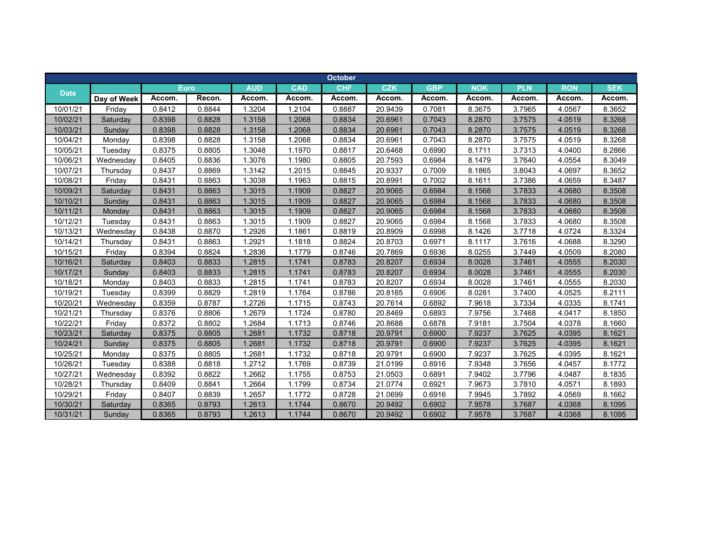|             |             |        |             |            |            | <b>October</b> |            |            |            |            |            |            |
|-------------|-------------|--------|-------------|------------|------------|----------------|------------|------------|------------|------------|------------|------------|
|             |             |        | <b>Euro</b> | <b>AUD</b> | <b>CAD</b> | <b>CHF</b>     | <b>CZK</b> | <b>GBP</b> | <b>NOK</b> | <b>PLN</b> | <b>RON</b> | <b>SEK</b> |
| <b>Date</b> | Day of Week | Accom. | Recon.      | Accom.     | Accom.     | Accom.         | Accom.     | Accom.     | Accom.     | Accom.     | Accom.     | Accom.     |
| 10/01/21    | Friday      | 0.8412 | 0.8844      | 1.3204     | 1.2104     | 0.8887         | 20.9439    | 0.7081     | 8.3675     | 3.7965     | 4.0567     | 8.3652     |
| 10/02/21    | Saturday    | 0.8398 | 0.8828      | 1.3158     | 1.2068     | 0.8834         | 20.6961    | 0.7043     | 8.2870     | 3.7575     | 4.0519     | 8.3268     |
| 10/03/21    | Sunday      | 0.8398 | 0.8828      | 1.3158     | 1.2068     | 0.8834         | 20.6961    | 0.7043     | 8.2870     | 3.7575     | 4.0519     | 8.3268     |
| 10/04/21    | Monday      | 0.8398 | 0.8828      | 1.3158     | 1.2068     | 0.8834         | 20.6961    | 0.7043     | 8.2870     | 3.7575     | 4.0519     | 8.3268     |
| 10/05/21    | Tuesday     | 0.8375 | 0.8805      | 1.3048     | 1.1970     | 0.8817         | 20.6468    | 0.6990     | 8.1711     | 3.7313     | 4.0400     | 8.2866     |
| 10/06/21    | Wednesday   | 0.8405 | 0.8836      | 1.3076     | 1.1980     | 0.8805         | 20.7593    | 0.6984     | 8.1479     | 3.7640     | 4.0554     | 8.3049     |
| 10/07/21    | Thursday    | 0.8437 | 0.8869      | 1.3142     | 1.2015     | 0.8845         | 20.9337    | 0.7009     | 8.1865     | 3.8043     | 4.0697     | 8.3652     |
| 10/08/21    | Friday      | 0.8431 | 0.8863      | 1.3038     | 1.1963     | 0.8815         | 20.8991    | 0.7002     | 8.1611     | 3.7386     | 4.0659     | 8.3487     |
| 10/09/21    | Saturday    | 0.8431 | 0.8863      | 1.3015     | 1.1909     | 0.8827         | 20.9065    | 0.6984     | 8.1568     | 3.7833     | 4.0680     | 8.3508     |
| 10/10/21    | Sunday      | 0.8431 | 0.8863      | 1.3015     | 1.1909     | 0.8827         | 20.9065    | 0.6984     | 8.1568     | 3.7833     | 4.0680     | 8.3508     |
| 10/11/21    | Monday      | 0.8431 | 0.8863      | 1.3015     | 1.1909     | 0.8827         | 20.9065    | 0.6984     | 8.1568     | 3.7833     | 4.0680     | 8.3508     |
| 10/12/21    | Tuesday     | 0.8431 | 0.8863      | 1.3015     | 1.1909     | 0.8827         | 20.9065    | 0.6984     | 8.1568     | 3.7833     | 4.0680     | 8.3508     |
| 10/13/21    | Wednesday   | 0.8438 | 0.8870      | 1.2926     | 1.1861     | 0.8819         | 20.8909    | 0.6998     | 8.1426     | 3.7718     | 4.0724     | 8.3324     |
| 10/14/21    | Thursday    | 0.8431 | 0.8863      | 1.2921     | 1.1818     | 0.8824         | 20.8703    | 0.6971     | 8.1117     | 3.7616     | 4.0688     | 8.3290     |
| 10/15/21    | Friday      | 0.8394 | 0.8824      | 1.2836     | 1.1779     | 0.8746         | 20.7869    | 0.6936     | 8.0255     | 3.7449     | 4.0509     | 8.2080     |
| 10/16/21    | Saturday    | 0.8403 | 0.8833      | 1.2815     | 1.1741     | 0.8783         | 20.8207    | 0.6934     | 8.0028     | 3.7461     | 4.0555     | 8.2030     |
| 10/17/21    | Sunday      | 0.8403 | 0.8833      | 1.2815     | 1.1741     | 0.8783         | 20.8207    | 0.6934     | 8.0028     | 3.7461     | 4.0555     | 8.2030     |
| 10/18/21    | Monday      | 0.8403 | 0.8833      | 1.2815     | 1.1741     | 0.8783         | 20.8207    | 0.6934     | 8.0028     | 3.7461     | 4.0555     | 8.2030     |
| 10/19/21    | Tuesday     | 0.8399 | 0.8829      | 1.2819     | 1.1764     | 0.8786         | 20.8165    | 0.6906     | 8.0281     | 3.7400     | 4.0525     | 8.2111     |
| 10/20/21    | Wednesday   | 0.8359 | 0.8787      | 1.2726     | 1.1715     | 0.8743         | 20.7614    | 0.6892     | 7.9618     | 3.7334     | 4.0335     | 8.1741     |
| 10/21/21    | Thursday    | 0.8376 | 0.8806      | 1.2679     | 1.1724     | 0.8780         | 20.8469    | 0.6893     | 7.9756     | 3.7468     | 4.0417     | 8.1850     |
| 10/22/21    | Friday      | 0.8372 | 0.8802      | 1.2684     | 1.1713     | 0.8746         | 20.8688    | 0.6878     | 7.9181     | 3.7504     | 4.0378     | 8.1660     |
| 10/23/21    | Saturday    | 0.8375 | 0.8805      | 1.2681     | 1.1732     | 0.8718         | 20.9791    | 0.6900     | 7.9237     | 3.7625     | 4.0395     | 8.1621     |
| 10/24/21    | Sunday      | 0.8375 | 0.8805      | 1.2681     | 1.1732     | 0.8718         | 20.9791    | 0.6900     | 7.9237     | 3.7625     | 4.0395     | 8.1621     |
| 10/25/21    | Monday      | 0.8375 | 0.8805      | 1.2681     | 1.1732     | 0.8718         | 20.9791    | 0.6900     | 7.9237     | 3.7625     | 4.0395     | 8.1621     |
| 10/26/21    | Tuesday     | 0.8388 | 0.8818      | 1.2712     | 1.1769     | 0.8739         | 21.0199    | 0.6916     | 7.9348     | 3.7656     | 4.0457     | 8.1772     |
| 10/27/21    | Wednesday   | 0.8392 | 0.8822      | 1.2662     | 1.1755     | 0.8753         | 21.0503    | 0.6891     | 7.9402     | 3.7796     | 4.0487     | 8.1835     |
| 10/28/21    | Thursday    | 0.8409 | 0.8841      | 1.2664     | 1.1799     | 0.8734         | 21.0774    | 0.6921     | 7.9673     | 3.7810     | 4.0571     | 8.1893     |
| 10/29/21    | Friday      | 0.8407 | 0.8839      | 1.2657     | 1.1772     | 0.8728         | 21.0699    | 0.6916     | 7.9945     | 3.7892     | 4.0569     | 8.1662     |
| 10/30/21    | Saturday    | 0.8365 | 0.8793      | 1.2613     | 1.1744     | 0.8670         | 20.9492    | 0.6902     | 7.9578     | 3.7687     | 4.0368     | 8.1095     |
| 10/31/21    | Sunday      | 0.8365 | 0.8793      | 1.2613     | 1.1744     | 0.8670         | 20.9492    | 0.6902     | 7.9578     | 3.7687     | 4.0368     | 8.1095     |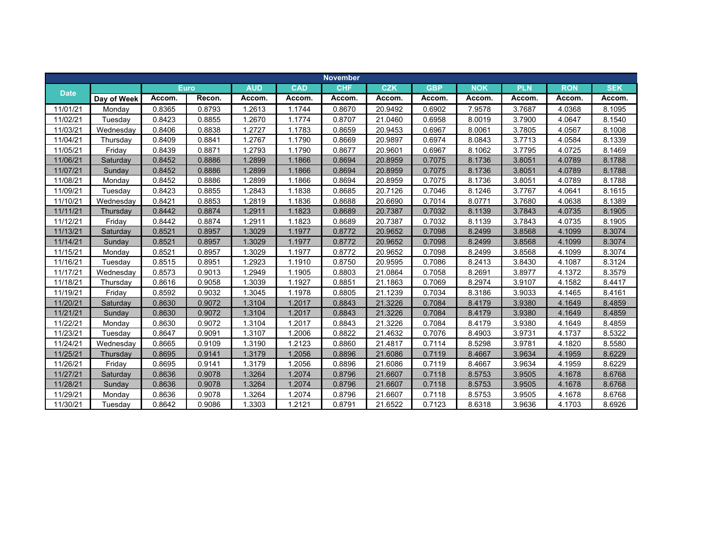|             |             |        |             |            |            | <b>November</b> |            |            |            |            |            |            |
|-------------|-------------|--------|-------------|------------|------------|-----------------|------------|------------|------------|------------|------------|------------|
|             |             |        | <b>Euro</b> | <b>AUD</b> | <b>CAD</b> | <b>CHF</b>      | <b>CZK</b> | <b>GBP</b> | <b>NOK</b> | <b>PLN</b> | <b>RON</b> | <b>SEK</b> |
| <b>Date</b> | Day of Week | Accom. | Recon.      | Accom.     | Accom.     | Accom.          | Accom.     | Accom.     | Accom.     | Accom.     | Accom.     | Accom.     |
| 11/01/21    | Monday      | 0.8365 | 0.8793      | 1.2613     | 1.1744     | 0.8670          | 20.9492    | 0.6902     | 7.9578     | 3.7687     | 4.0368     | 8.1095     |
| 11/02/21    | Tuesday     | 0.8423 | 0.8855      | 1.2670     | 1.1774     | 0.8707          | 21.0460    | 0.6958     | 8.0019     | 3.7900     | 4.0647     | 8.1540     |
| 11/03/21    | Wednesday   | 0.8406 | 0.8838      | 1.2727     | 1.1783     | 0.8659          | 20.9453    | 0.6967     | 8.0061     | 3.7805     | 4.0567     | 8.1008     |
| 11/04/21    | Thursday    | 0.8409 | 0.8841      | 1.2767     | 1.1790     | 0.8669          | 20.9897    | 0.6974     | 8.0843     | 3.7713     | 4.0584     | 8.1339     |
| 11/05/21    | Friday      | 0.8439 | 0.8871      | 1.2793     | 1.1790     | 0.8677          | 20.9601    | 0.6967     | 8.1062     | 3.7795     | 4.0725     | 8.1469     |
| 11/06/21    | Saturday    | 0.8452 | 0.8886      | 1.2899     | 1.1866     | 0.8694          | 20.8959    | 0.7075     | 8.1736     | 3.8051     | 4.0789     | 8.1788     |
| 11/07/21    | Sunday      | 0.8452 | 0.8886      | 1.2899     | 1.1866     | 0.8694          | 20.8959    | 0.7075     | 8.1736     | 3.8051     | 4.0789     | 8.1788     |
| 11/08/21    | Monday      | 0.8452 | 0.8886      | 1.2899     | 1.1866     | 0.8694          | 20.8959    | 0.7075     | 8.1736     | 3.8051     | 4.0789     | 8.1788     |
| 11/09/21    | Tuesday     | 0.8423 | 0.8855      | 1.2843     | 1.1838     | 0.8685          | 20.7126    | 0.7046     | 8.1246     | 3.7767     | 4.0641     | 8.1615     |
| 11/10/21    | Wednesday   | 0.8421 | 0.8853      | 1.2819     | 1.1836     | 0.8688          | 20.6690    | 0.7014     | 8.0771     | 3.7680     | 4.0638     | 8.1389     |
| 11/11/21    | Thursday    | 0.8442 | 0.8874      | 1.2911     | 1.1823     | 0.8689          | 20.7387    | 0.7032     | 8.1139     | 3.7843     | 4.0735     | 8.1905     |
| 11/12/21    | Friday      | 0.8442 | 0.8874      | 1.2911     | 1.1823     | 0.8689          | 20.7387    | 0.7032     | 8.1139     | 3.7843     | 4.0735     | 8.1905     |
| 11/13/21    | Saturday    | 0.8521 | 0.8957      | 1.3029     | 1.1977     | 0.8772          | 20.9652    | 0.7098     | 8.2499     | 3.8568     | 4.1099     | 8.3074     |
| 11/14/21    | Sunday      | 0.8521 | 0.8957      | 1.3029     | 1.1977     | 0.8772          | 20.9652    | 0.7098     | 8.2499     | 3.8568     | 4.1099     | 8.3074     |
| 11/15/21    | Monday      | 0.8521 | 0.8957      | 1.3029     | 1.1977     | 0.8772          | 20.9652    | 0.7098     | 8.2499     | 3.8568     | 4.1099     | 8.3074     |
| 11/16/21    | Tuesday     | 0.8515 | 0.8951      | .2923      | 1.1910     | 0.8750          | 20.9595    | 0.7086     | 8.2413     | 3.8430     | 4.1087     | 8.3124     |
| 11/17/21    | Wednesday   | 0.8573 | 0.9013      | 1.2949     | 1.1905     | 0.8803          | 21.0864    | 0.7058     | 8.2691     | 3.8977     | 4.1372     | 8.3579     |
| 11/18/21    | Thursday    | 0.8616 | 0.9058      | 1.3039     | 1.1927     | 0.8851          | 21.1863    | 0.7069     | 8.2974     | 3.9107     | 4.1582     | 8.4417     |
| 11/19/21    | Friday      | 0.8592 | 0.9032      | 1.3045     | 1.1978     | 0.8805          | 21.1239    | 0.7034     | 8.3186     | 3.9033     | 4.1465     | 8.4161     |
| 11/20/21    | Saturday    | 0.8630 | 0.9072      | 1.3104     | 1.2017     | 0.8843          | 21.3226    | 0.7084     | 8.4179     | 3.9380     | 4.1649     | 8.4859     |
| 11/21/21    | Sunday      | 0.8630 | 0.9072      | 1.3104     | 1.2017     | 0.8843          | 21.3226    | 0.7084     | 8.4179     | 3.9380     | 4.1649     | 8.4859     |
| 11/22/21    | Monday      | 0.8630 | 0.9072      | 1.3104     | 1.2017     | 0.8843          | 21.3226    | 0.7084     | 8.4179     | 3.9380     | 4.1649     | 8.4859     |
| 11/23/21    | Tuesday     | 0.8647 | 0.9091      | 1.3107     | 1.2006     | 0.8822          | 21.4632    | 0.7076     | 8.4903     | 3.9731     | 4.1737     | 8.5322     |
| 11/24/21    | Wednesday   | 0.8665 | 0.9109      | 1.3190     | 1.2123     | 0.8860          | 21.4817    | 0.7114     | 8.5298     | 3.9781     | 4.1820     | 8.5580     |
| 11/25/21    | Thursday    | 0.8695 | 0.9141      | 1.3179     | 1.2056     | 0.8896          | 21.6086    | 0.7119     | 8.4667     | 3.9634     | 4.1959     | 8.6229     |
| 11/26/21    | Friday      | 0.8695 | 0.9141      | 1.3179     | 1.2056     | 0.8896          | 21.6086    | 0.7119     | 8.4667     | 3.9634     | 4.1959     | 8.6229     |
| 11/27/21    | Saturday    | 0.8636 | 0.9078      | 1.3264     | 1.2074     | 0.8796          | 21.6607    | 0.7118     | 8.5753     | 3.9505     | 4.1678     | 8.6768     |
| 11/28/21    | Sunday      | 0.8636 | 0.9078      | 1.3264     | 1.2074     | 0.8796          | 21.6607    | 0.7118     | 8.5753     | 3.9505     | 4.1678     | 8.6768     |
| 11/29/21    | Monday      | 0.8636 | 0.9078      | 1.3264     | 1.2074     | 0.8796          | 21.6607    | 0.7118     | 8.5753     | 3.9505     | 4.1678     | 8.6768     |
| 11/30/21    | Tuesday     | 0.8642 | 0.9086      | 1.3303     | 1.2121     | 0.8791          | 21.6522    | 0.7123     | 8.6318     | 3.9636     | 4.1703     | 8.6926     |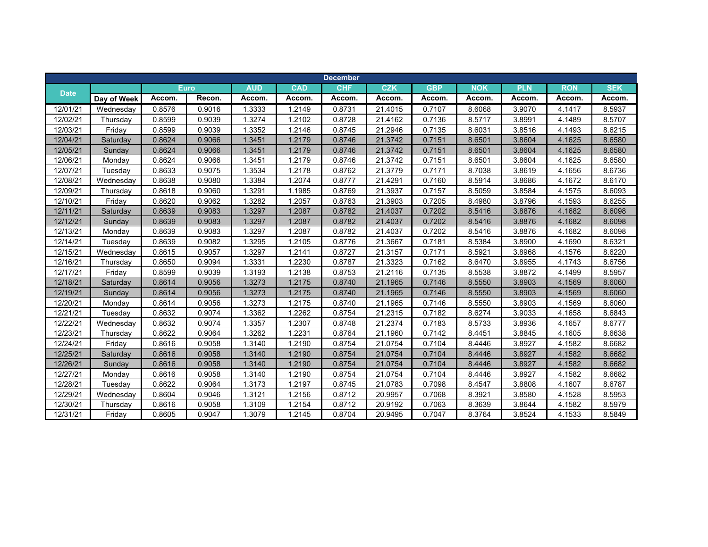|             |             |        |             |            |            | <b>December</b> |            |            |            |            |            |            |
|-------------|-------------|--------|-------------|------------|------------|-----------------|------------|------------|------------|------------|------------|------------|
|             |             |        | <b>Euro</b> | <b>AUD</b> | <b>CAD</b> | <b>CHF</b>      | <b>CZK</b> | <b>GBP</b> | <b>NOK</b> | <b>PLN</b> | <b>RON</b> | <b>SEK</b> |
| <b>Date</b> | Day of Week | Accom. | Recon.      | Accom.     | Accom.     | Accom.          | Accom.     | Accom.     | Accom.     | Accom.     | Accom.     | Accom.     |
| 12/01/21    | Wednesday   | 0.8576 | 0.9016      | 1.3333     | 1.2149     | 0.8731          | 21.4015    | 0.7107     | 8.6068     | 3.9070     | 4.1417     | 8.5937     |
| 12/02/21    | Thursday    | 0.8599 | 0.9039      | 1.3274     | 1.2102     | 0.8728          | 21.4162    | 0.7136     | 8.5717     | 3.8991     | 4.1489     | 8.5707     |
| 12/03/21    | Friday      | 0.8599 | 0.9039      | 1.3352     | 1.2146     | 0.8745          | 21.2946    | 0.7135     | 8.6031     | 3.8516     | 4.1493     | 8.6215     |
| 12/04/21    | Saturday    | 0.8624 | 0.9066      | 1.3451     | 1.2179     | 0.8746          | 21.3742    | 0.7151     | 8.6501     | 3.8604     | 4.1625     | 8.6580     |
| 12/05/21    | Sunday      | 0.8624 | 0.9066      | 1.3451     | 1.2179     | 0.8746          | 21.3742    | 0.7151     | 8.6501     | 3.8604     | 4.1625     | 8.6580     |
| 12/06/21    | Monday      | 0.8624 | 0.9066      | 1.3451     | 1.2179     | 0.8746          | 21.3742    | 0.7151     | 8.6501     | 3.8604     | 4.1625     | 8.6580     |
| 12/07/21    | Tuesday     | 0.8633 | 0.9075      | 1.3534     | 1.2178     | 0.8762          | 21.3779    | 0.7171     | 8.7038     | 3.8619     | 4.1656     | 8.6736     |
| 12/08/21    | Wednesday   | 0.8638 | 0.9080      | 1.3384     | 1.2074     | 0.8777          | 21.4291    | 0.7160     | 8.5914     | 3.8686     | 4.1672     | 8.6170     |
| 12/09/21    | Thursday    | 0.8618 | 0.9060      | 1.3291     | 1.1985     | 0.8769          | 21.3937    | 0.7157     | 8.5059     | 3.8584     | 4.1575     | 8.6093     |
| 12/10/21    | Friday      | 0.8620 | 0.9062      | 1.3282     | 1.2057     | 0.8763          | 21.3903    | 0.7205     | 8.4980     | 3.8796     | 4.1593     | 8.6255     |
| 12/11/21    | Saturday    | 0.8639 | 0.9083      | 1.3297     | 1.2087     | 0.8782          | 21.4037    | 0.7202     | 8.5416     | 3.8876     | 4.1682     | 8.6098     |
| 12/12/21    | Sunday      | 0.8639 | 0.9083      | 1.3297     | 1.2087     | 0.8782          | 21.4037    | 0.7202     | 8.5416     | 3.8876     | 4.1682     | 8.6098     |
| 12/13/21    | Monday      | 0.8639 | 0.9083      | 1.3297     | 1.2087     | 0.8782          | 21.4037    | 0.7202     | 8.5416     | 3.8876     | 4.1682     | 8.6098     |
| 12/14/21    | Tuesday     | 0.8639 | 0.9082      | 1.3295     | 1.2105     | 0.8776          | 21.3667    | 0.7181     | 8.5384     | 3.8900     | 4.1690     | 8.6321     |
| 12/15/21    | Wednesday   | 0.8615 | 0.9057      | 1.3297     | 1.2141     | 0.8727          | 21.3157    | 0.7171     | 8.5921     | 3.8968     | 4.1576     | 8.6220     |
| 12/16/21    | Thursday    | 0.8650 | 0.9094      | 1.3331     | 1.2230     | 0.8787          | 21.3323    | 0.7162     | 8.6470     | 3.8955     | 4.1743     | 8.6756     |
| 12/17/21    | Friday      | 0.8599 | 0.9039      | 1.3193     | 1.2138     | 0.8753          | 21.2116    | 0.7135     | 8.5538     | 3.8872     | 4.1499     | 8.5957     |
| 12/18/21    | Saturday    | 0.8614 | 0.9056      | 1.3273     | 1.2175     | 0.8740          | 21.1965    | 0.7146     | 8.5550     | 3.8903     | 4.1569     | 8.6060     |
| 12/19/21    | Sunday      | 0.8614 | 0.9056      | 1.3273     | 1.2175     | 0.8740          | 21.1965    | 0.7146     | 8.5550     | 3.8903     | 4.1569     | 8.6060     |
| 12/20/21    | Monday      | 0.8614 | 0.9056      | 1.3273     | 1.2175     | 0.8740          | 21.1965    | 0.7146     | 8.5550     | 3.8903     | 4.1569     | 8.6060     |
| 12/21/21    | Tuesday     | 0.8632 | 0.9074      | 1.3362     | 1.2262     | 0.8754          | 21.2315    | 0.7182     | 8.6274     | 3.9033     | 4.1658     | 8.6843     |
| 12/22/21    | Wednesday   | 0.8632 | 0.9074      | 1.3357     | 1.2307     | 0.8748          | 21.2374    | 0.7183     | 8.5733     | 3.8936     | 4.1657     | 8.6777     |
| 12/23/21    | Thursday    | 0.8622 | 0.9064      | 1.3262     | 1.2231     | 0.8764          | 21.1960    | 0.7142     | 8.4451     | 3.8845     | 4.1605     | 8.6638     |
| 12/24/21    | Friday      | 0.8616 | 0.9058      | 1.3140     | 1.2190     | 0.8754          | 21.0754    | 0.7104     | 8.4446     | 3.8927     | 4.1582     | 8.6682     |
| 12/25/21    | Saturday    | 0.8616 | 0.9058      | 1.3140     | 1.2190     | 0.8754          | 21.0754    | 0.7104     | 8.4446     | 3.8927     | 4.1582     | 8.6682     |
| 12/26/21    | Sunday      | 0.8616 | 0.9058      | 1.3140     | 1.2190     | 0.8754          | 21.0754    | 0.7104     | 8.4446     | 3.8927     | 4.1582     | 8.6682     |
| 12/27/21    | Monday      | 0.8616 | 0.9058      | 1.3140     | 1.2190     | 0.8754          | 21.0754    | 0.7104     | 8.4446     | 3.8927     | 4.1582     | 8.6682     |
| 12/28/21    | Tuesday     | 0.8622 | 0.9064      | 1.3173     | 1.2197     | 0.8745          | 21.0783    | 0.7098     | 8.4547     | 3.8808     | 4.1607     | 8.6787     |
| 12/29/21    | Wednesday   | 0.8604 | 0.9046      | 1.3121     | 1.2156     | 0.8712          | 20.9957    | 0.7068     | 8.3921     | 3.8580     | 4.1528     | 8.5953     |
| 12/30/21    | Thursday    | 0.8616 | 0.9058      | 1.3109     | 1.2154     | 0.8712          | 20.9192    | 0.7063     | 8.3639     | 3.8644     | 4.1582     | 8.5979     |
| 12/31/21    | Friday      | 0.8605 | 0.9047      | 1.3079     | 1.2145     | 0.8704          | 20.9495    | 0.7047     | 8.3764     | 3.8524     | 4.1533     | 8.5849     |